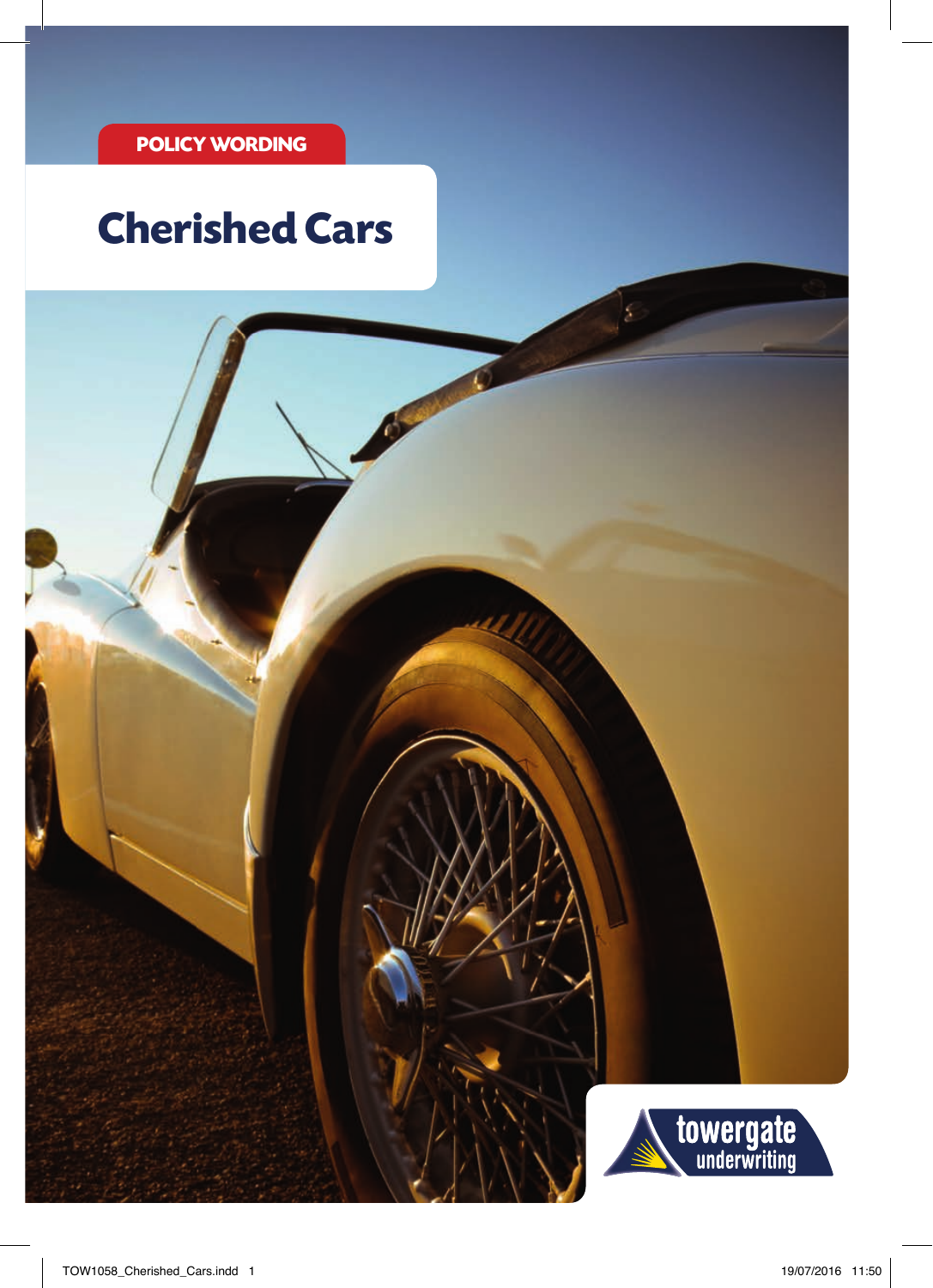# **Cherished Cars**

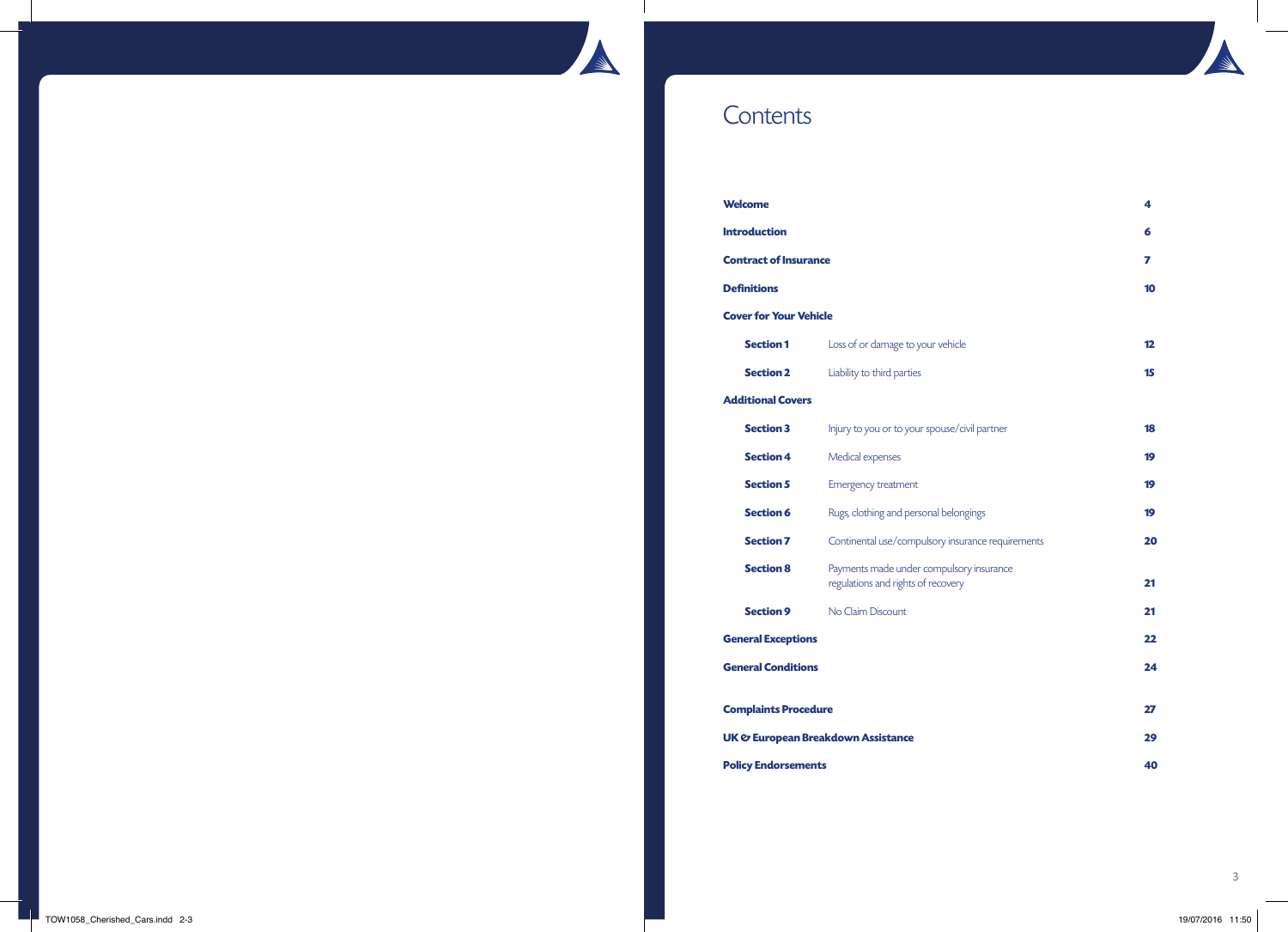# **Contents**

| <b>Welcome</b>                                |                                                                                | 4  |
|-----------------------------------------------|--------------------------------------------------------------------------------|----|
| <b>Introduction</b>                           |                                                                                | 6  |
| <b>Contract of Insurance</b>                  |                                                                                | 7  |
| <b>Definitions</b>                            |                                                                                | 10 |
| <b>Cover for Your Vehicle</b>                 |                                                                                |    |
| <b>Section 1</b>                              | Loss of or damage to your vehicle                                              | 12 |
| <b>Section 2</b>                              | Liability to third parties                                                     | 15 |
| <b>Additional Covers</b>                      |                                                                                |    |
| <b>Section 3</b>                              | Injury to you or to your spouse/civil partner                                  | 18 |
| <b>Section 4</b>                              | Medical expenses                                                               | 19 |
| <b>Section 5</b>                              | <b>Emergency treatment</b>                                                     | 19 |
| <b>Section 6</b>                              | Rugs, clothing and personal belongings                                         | 19 |
| <b>Section 7</b>                              | Continental use/compulsory insurance requirements                              | 20 |
| <b>Section 8</b>                              | Payments made under compulsory insurance<br>regulations and rights of recovery | 21 |
| <b>Section 9</b>                              | No Claim Discount                                                              | 21 |
| <b>General Exceptions</b>                     |                                                                                | 22 |
| <b>General Conditions</b>                     |                                                                                | 24 |
| <b>Complaints Procedure</b>                   |                                                                                | 27 |
| <b>UK &amp; European Breakdown Assistance</b> |                                                                                | 29 |
| <b>Policy Endorsements</b>                    |                                                                                | 40 |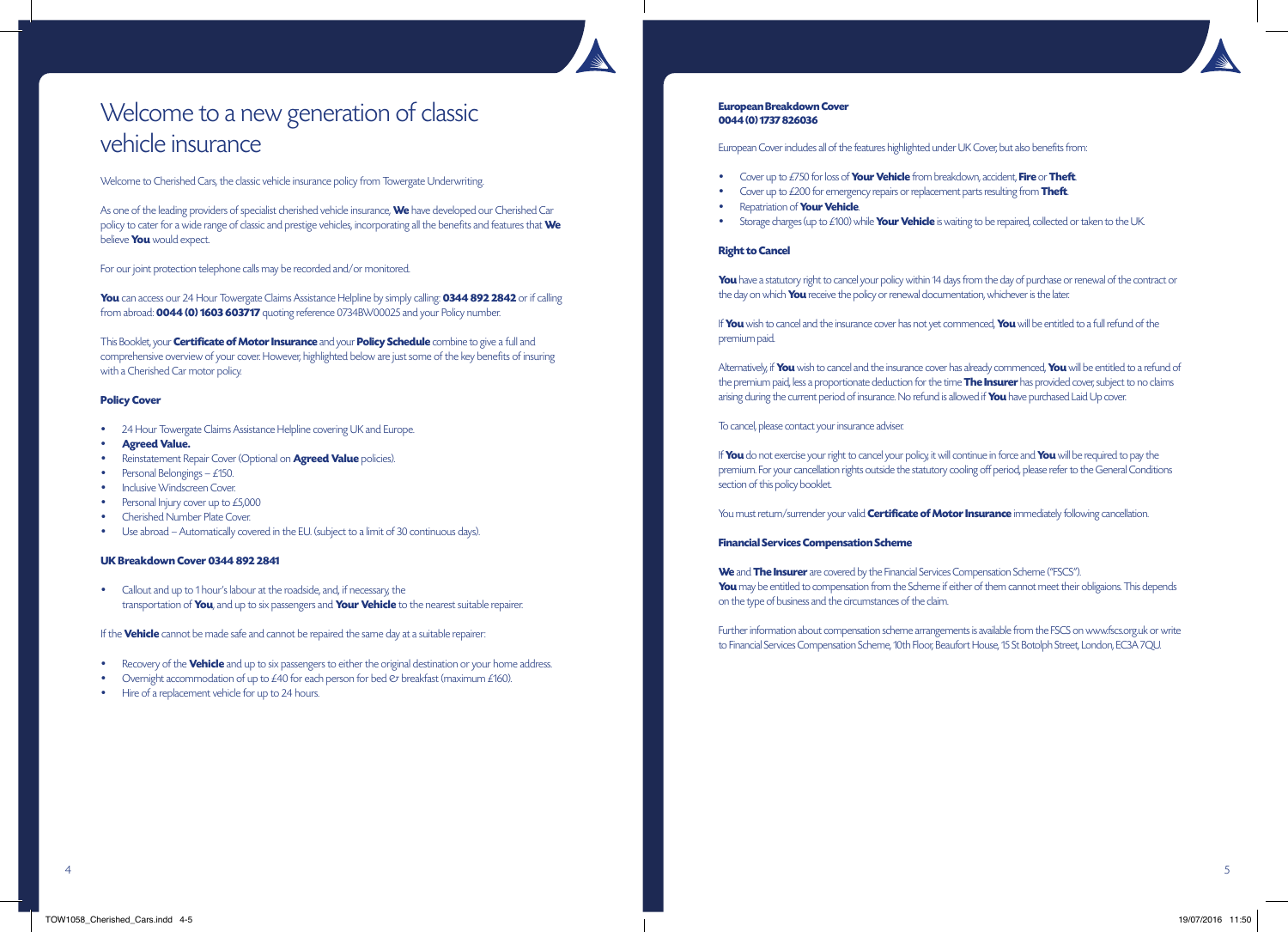# Welcome to a new generation of classic vehicle insurance

Welcome to Cherished Cars, the classic vehicle insurance policy from Towergate Underwriting.

As one of the leading providers of specialist cherished vehicle insurance, **We** have developed our Cherished Car policy to cater for a wide range of classic and prestige vehicles, incorporating all the benefits and features that **We** believe **You** would expect.

For our joint protection telephone calls may be recorded and/or monitored.

**You** can access our 24 Hour Towergate Claims Assistance Helpline by simply calling: **0344 892 2842** or if calling from abroad: **0044 (0) 1603 603717** quoting reference 0734BW00025 and your Policy number.

This Booklet, your **Certificate of Motor Insurance** and your **Policy Schedule** combine to give a full and comprehensive overview of your cover. However, highlighted below are just some of the key benefits of insuring with a Cherished Car motor policy.

# **Policy Cover**

- 24 Hour Towergate Claims Assistance Helpline covering UK and Europe.
- **Agreed Value.**
- Reinstatement Repair Cover (Optional on **Agreed Value** policies).
- Personal Belongings £150.
- Inclusive Windscreen Cover.
- Personal Injury cover up to £5,000
- Cherished Number Plate Cover.
- Use abroad Automatically covered in the EU. (subject to a limit of 30 continuous days).

### **UK Breakdown Cover 0344 892 2841**

• Callout and up to 1 hour's labour at the roadside, and, if necessary, the transportation of **You**, and up to six passengers and **Your Vehicle** to the nearest suitable repairer.

If the **Vehicle** cannot be made safe and cannot be repaired the same day at a suitable repairer:

- Recovery of the **Vehicle** and up to six passengers to either the original destination or your home address.
- Overnight accommodation of up to  $\text{\emph{E}}40$  for each person for bed  $\text{\emph{C}}\tau$  breakfast (maximum  $\text{\emph{E}}160$ ).
- Hire of a replacement vehicle for up to 24 hours.

# **European Breakdown Cover 0044 (0) 1737 826036**

European Cover includes all of the features highlighted under UK Cover, but also benefits from:

- Cover up to £750 for loss of **Your Vehicle** from breakdown, accident, **Fire** or **Theft**.
- Cover up to £200 for emergency repairs or replacement parts resulting from **Theft**.
- Repatriation of **Your Vehicle**.
- Storage charges (up to £100) while **Your Vehicle** is waiting to be repaired, collected or taken to the UK.

### **Right to Cancel**

**You** have a statutory right to cancel your policy within 14 days from the day of purchase or renewal of the contract or the day on which **You** receive the policy or renewal documentation, whichever is the later.

If **You** wish to cancel and the insurance cover has not yet commenced, **You** will be entitled to a full refund of the premium paid.

Alternatively, if **You** wish to cancel and the insurance cover has already commenced, **You** will be entitled to a refund of the premium paid, less a proportionate deduction for the time **The Insurer** has provided cover, subject to no claims arising during the current period of insurance. No refund is allowed if **You** have purchased Laid Up cover.

To cancel, please contact your insurance adviser.

If **You** do not exercise your right to cancel your policy, it will continue in force and **You** will be required to pay the premium. For your cancellation rights outside the statutory cooling off period, please refer to the General Conditions section of this policy booklet.

You must return/surrender your valid **Certificate of Motor Insurance** immediately following cancellation.

# **Financial Services Compensation Scheme**

**We** and **The Insurer** are covered by the Financial Services Compensation Scheme ("FSCS"). You may be entitled to compensation from the Scheme if either of them cannot meet their obligaions. This depends on the type of business and the circumstances of the claim.

Further information about compensation scheme arrangements is available from the FSCS on www.fscs.org.uk or write to Financial Services Compensation Scheme, 10th Floor, Beaufort House, 15 St Botolph Street, London, EC3A 7QU.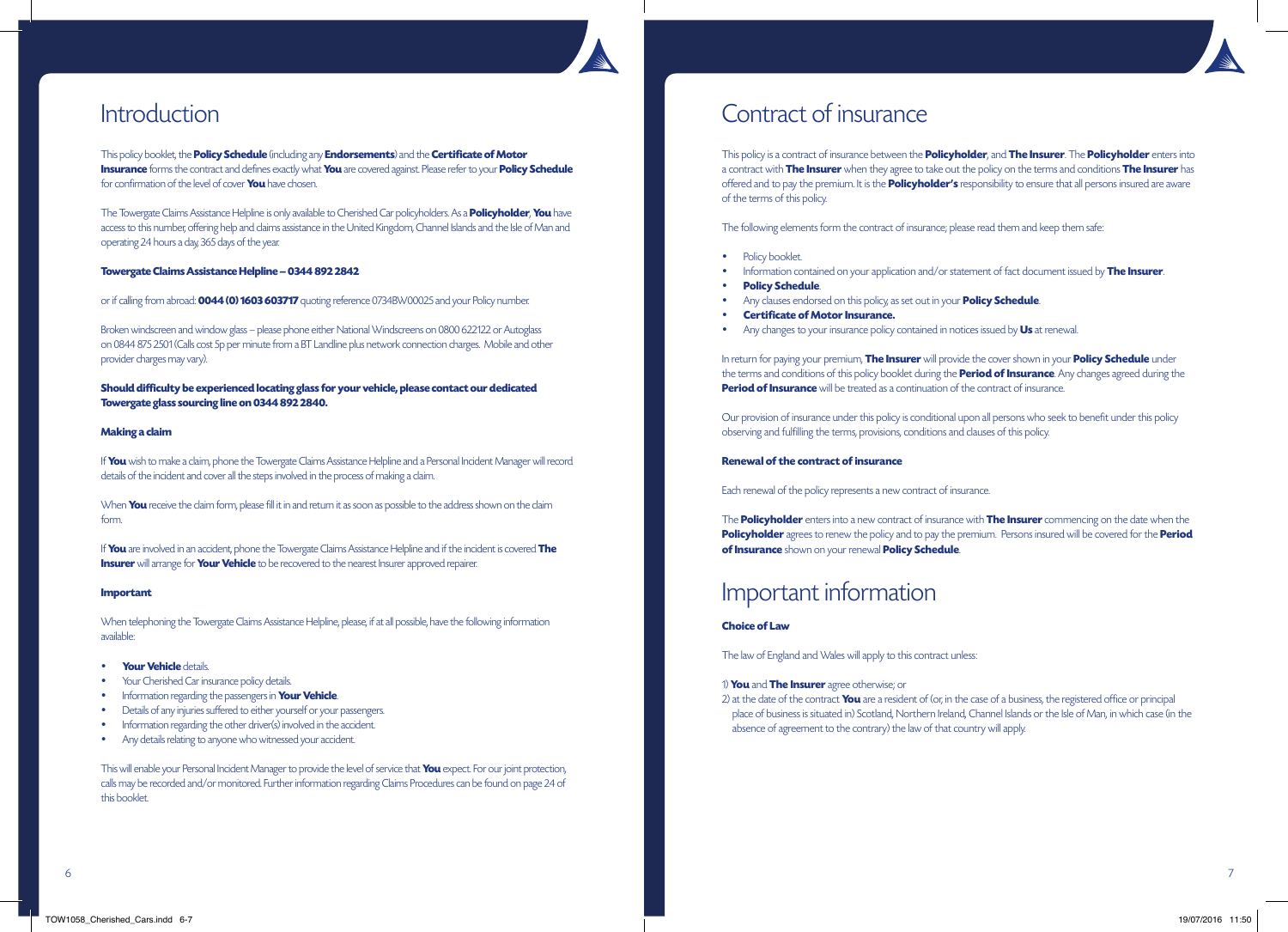

This policy booklet, the **Policy Schedule** (including any **Endorsements**) and the **Certificate of Motor Insurance** forms the contract and defines exactly what **You** are covered against. Please refer to your **Policy Schedule** for confirmation of the level of cover **You** have chosen.

The Towergate Claims Assistance Helpline is only available to Cherished Car policyholders. As a **Policyholder**, **You** have access to this number, offering help and claims assistance in the United Kingdom, Channel Islands and the Isle of Man and operating 24 hours a day, 365 days of the year.

### **Towergate Claims Assistance Helpline – 0344 892 2842**

or if calling from abroad: **0044 (0) 1603 603717** quoting reference 0734BW00025 and your Policy number.

Broken windscreen and window glass – please phone either National Windscreens on 0800 622122 or Autoglass on 0844 875 2501 (Calls cost 5p per minute from a BT Landline plus network connection charges. Mobile and other provider charges may vary).

**Should difficulty be experienced locating glass for your vehicle, please contact our dedicated Towergate glass sourcing line on 0344 892 2840.**

# **Making a claim**

If **You** wish to make a claim, phone the Towergate Claims Assistance Helpline and a Personal Incident Manager will record details of the incident and cover all the steps involved in the process of making a claim.

When **You** receive the claim form, please fill it in and return it as soon as possible to the address shown on the claim form.

If **You** are involved in an accident, phone the Towergate Claims Assistance Helpline and if the incident is covered **The Insurer** will arrange for **Your Vehicle** to be recovered to the nearest Insurer approved repairer.

### **Important**

When telephoning the Towergate Claims Assistance Helpline, please, if at all possible, have the following information available:

- **Your Vehicle** details.
- Your Cherished Car insurance policy details.
- Information regarding the passengers in **Your Vehicle**.
- Details of any injuries suffered to either yourself or your passengers.
- Information regarding the other driver(s) involved in the accident.
- Any details relating to anyone who witnessed your accident.

This will enable your Personal Incident Manager to provide the level of service that **You** expect. For our joint protection, calls may be recorded and/or monitored. Further information regarding Claims Procedures can be found on page 24 of this booklet.

# Introduction Contract of insurance

This policy is a contract of insurance between the **Policyholder**, and **The Insurer**. The **Policyholder** enters into a contract with **The Insurer** when they agree to take out the policy on the terms and conditions **The Insurer** has offered and to pay the premium. It is the **Policyholder's** responsibility to ensure that all persons insured are aware of the terms of this policy.

The following elements form the contract of insurance; please read them and keep them safe:

- Policy booklet.
- Information contained on your application and/or statement of fact document issued by **The Insurer**.
- **Policy Schedule**.
- Any clauses endorsed on this policy, as set out in your **Policy Schedule**.
- **Certificate of Motor Insurance.**
- Any changes to your insurance policy contained in notices issued by **Us** at renewal.

In return for paying your premium, **The Insurer** will provide the cover shown in your **Policy Schedule** under the terms and conditions of this policy booklet during the **Period of Insurance**. Any changes agreed during the **Period of Insurance** will be treated as a continuation of the contract of insurance.

Our provision of insurance under this policy is conditional upon all persons who seek to benefit under this policy observing and fulfilling the terms, provisions, conditions and clauses of this policy.

## **Renewal of the contract of insurance**

Each renewal of the policy represents a new contract of insurance.

The **Policyholder** enters into a new contract of insurance with **The Insurer** commencing on the date when the **Policyholder** agrees to renew the policy and to pay the premium. Persons insured will be covered for the **Period of Insurance** shown on your renewal **Policy Schedule**.

# Important information

# **Choice of Law**

The law of England and Wales will apply to this contract unless:

# 1) **You** and **The Insurer** agree otherwise; or

2) at the date of the contract **You** are a resident of (or, in the case of a business, the registered office or principal place of business is situated in) Scotland, Northern Ireland, Channel Islands or the Isle of Man, in which case (in the absence of agreement to the contrary) the law of that country will apply.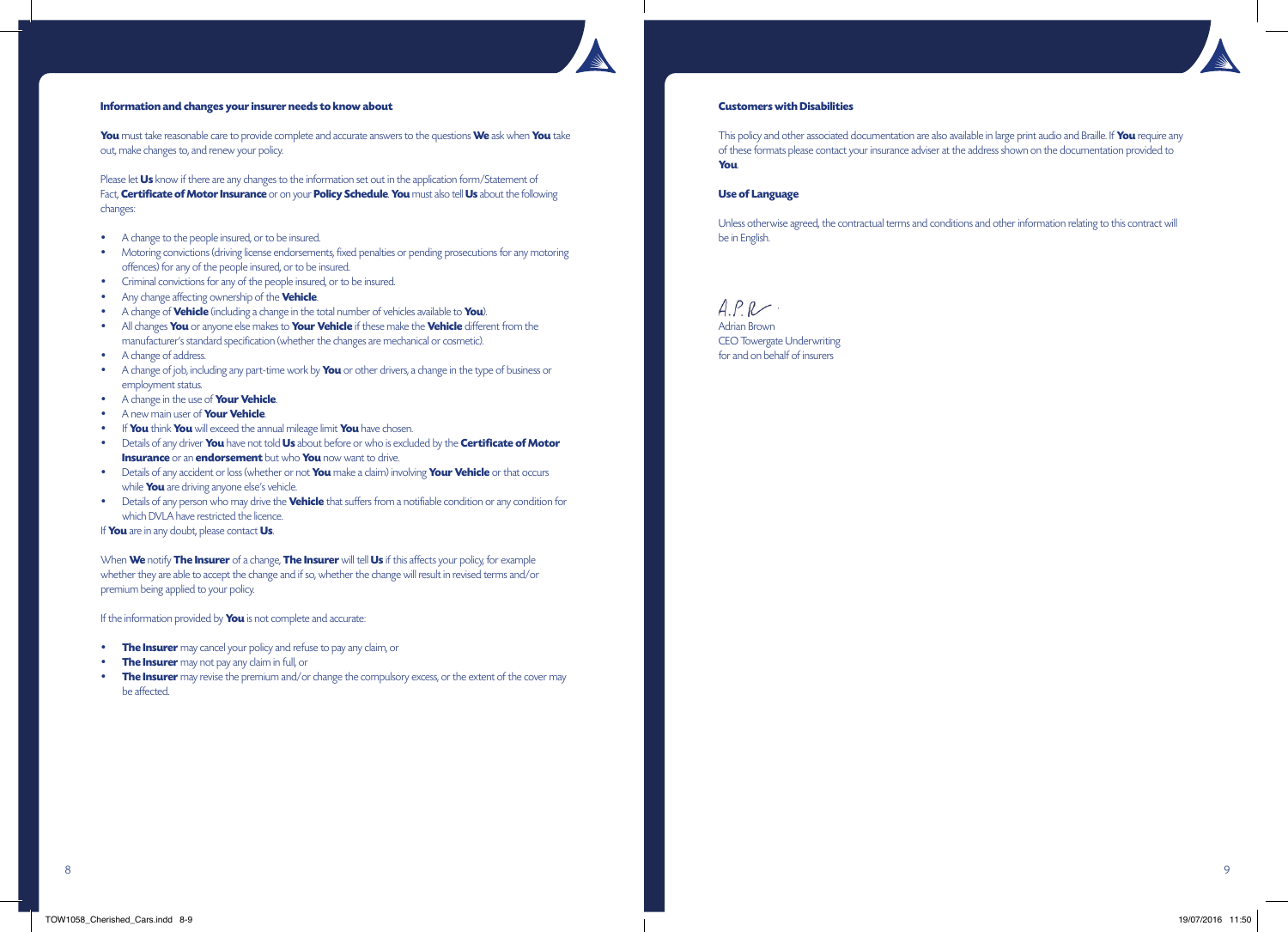# **Information and changes your insurer needs to know about**

**You** must take reasonable care to provide complete and accurate answers to the questions **We** ask when **You** take out, make changes to, and renew your policy.

Please let **Us** know if there are any changes to the information set out in the application form/Statement of Fact, **Certificate of Motor Insurance** or on your **Policy Schedule**. **You** must also tell **Us** about the following changes:

- A change to the people insured, or to be insured.
- Motoring convictions (driving license endorsements, fixed penalties or pending prosecutions for any motoring offences) for any of the people insured, or to be insured.
- Criminal convictions for any of the people insured, or to be insured.
- Any change affecting ownership of the **Vehicle**.
- A change of **Vehicle** (including a change in the total number of vehicles available to **You**).
- All changes **You** or anyone else makes to **Your Vehicle** if these make the **Vehicle** different from the manufacturer's standard specification (whether the changes are mechanical or cosmetic).
- A change of address.
- A change of job, including any part-time work by **You** or other drivers, a change in the type of business or employment status.
- A change in the use of **Your Vehicle**.
- A new main user of **Your Vehicle**.
- If **You** think **You** will exceed the annual mileage limit **You** have chosen.
- Details of any driver **You** have not told **Us** about before or who is excluded by the **Certificate of Motor Insurance** or an **endorsement** but who **You** now want to drive.
- Details of any accident or loss (whether or not **You** make a claim) involving **Your Vehicle** or that occurs while **You** are driving anyone else's vehicle.
- Details of any person who may drive the **Vehicle** that suffers from a notifiable condition or any condition for which DVLA have restricted the licence.

If **You** are in any doubt, please contact **Us**.

When **We** notify **The Insurer** of a change, **The Insurer** will tell **Us** if this affects your policy, for example whether they are able to accept the change and if so, whether the change will result in revised terms and/or premium being applied to your policy.

If the information provided by **You** is not complete and accurate:

- **The Insurer** may cancel your policy and refuse to pay any claim, or
- **The Insurer** may not pay any claim in full, or
- **The Insurer** may revise the premium and/or change the compulsory excess, or the extent of the cover may be affected.

# **Customers with Disabilities**

This policy and other associated documentation are also available in large print audio and Braille. If **You** require any of these formats please contact your insurance adviser at the address shown on the documentation provided to **You**.

# **Use of Language**

Unless otherwise agreed, the contractual terms and conditions and other information relating to this contract will be in English.

 $APR$ . Adrian Brown CEO Towergate Underwriting

for and on behalf of insurers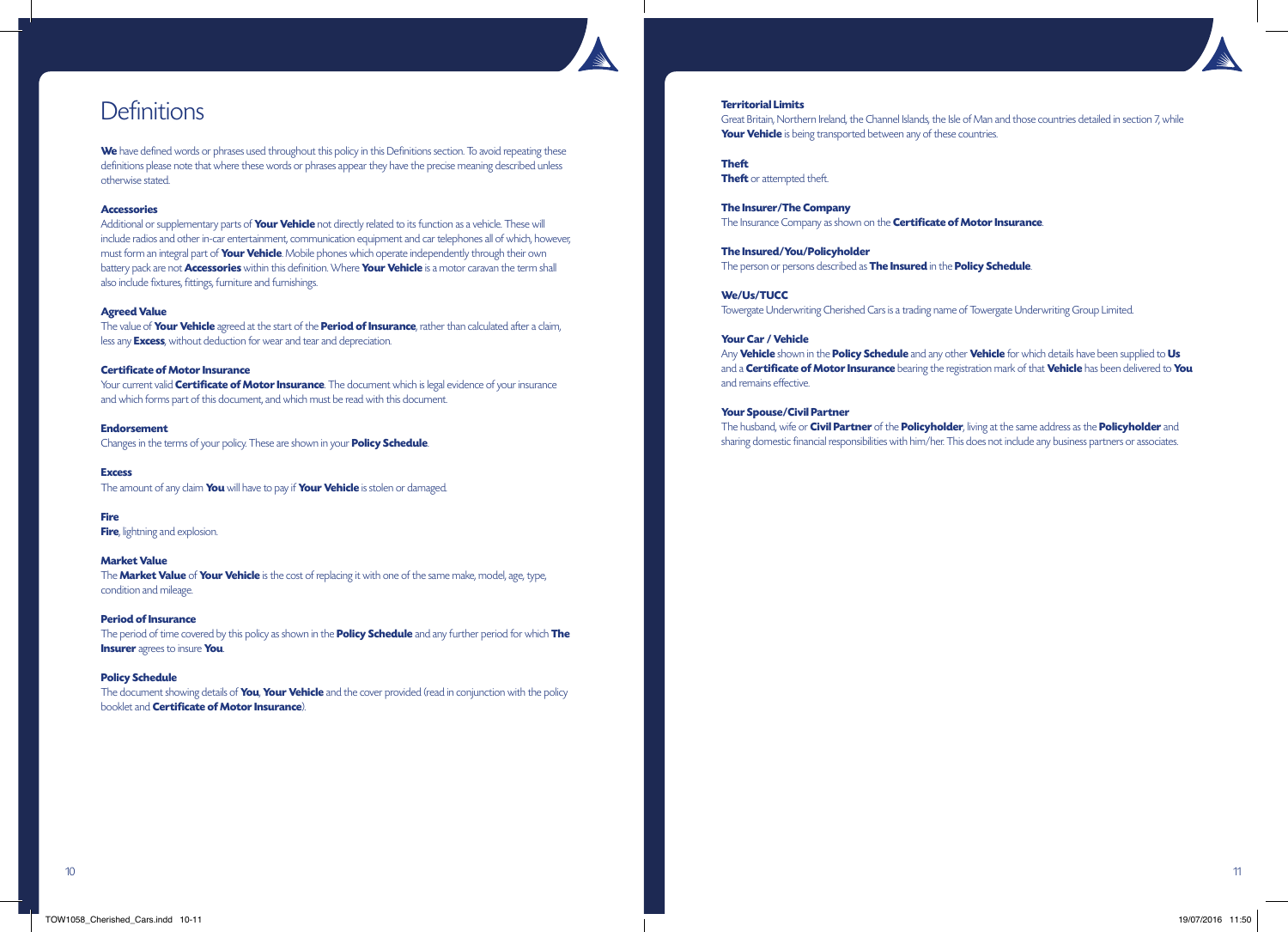

# **Definitions**

We have defined words or phrases used throughout this policy in this Definitions section. To avoid repeating these definitions please note that where these words or phrases appear they have the precise meaning described unless otherwise stated.

### **Accessories**

Additional or supplementary parts of **Your Vehicle** not directly related to its function as a vehicle. These will include radios and other in-car entertainment, communication equipment and car telephones all of which, however, must form an integral part of **Your Vehicle**. Mobile phones which operate independently through their own battery pack are not **Accessories** within this definition. Where **Your Vehicle** is a motor caravan the term shall also include fixtures, fittings, furniture and furnishings.

### **Agreed Value**

The value of **Your Vehicle** agreed at the start of the **Period of Insurance**, rather than calculated after a claim, less any **Excess**, without deduction for wear and tear and depreciation.

### **Certificate of Motor Insurance**

Your current valid **Certificate of Motor Insurance**. The document which is legal evidence of your insurance and which forms part of this document, and which must be read with this document.

### **Endorsement** Changes in the terms of your policy. These are shown in your **Policy Schedule**.

**Excess** The amount of any claim **You** will have to pay if **Your Vehicle** is stolen or damaged.

**Fire Fire**, lightning and explosion.

### **Market Value**

The **Market Value** of **Your Vehicle** is the cost of replacing it with one of the same make, model, age, type, condition and mileage.

**Period of Insurance** The period of time covered by this policy as shown in the **Policy Schedule** and any further period for which **The Insurer** agrees to insure **You**.

### **Policy Schedule**

The document showing details of **You**, **Your Vehicle** and the cover provided (read in conjunction with the policy booklet and **Certificate of Motor Insurance**).



### **Territorial Limits**

Great Britain, Northern Ireland, the Channel Islands, the Isle of Man and those countries detailed in section 7, while **Your Vehicle** is being transported between any of these countries.

**Theft**

**Theft** or attempted theft.

**The Insurer/The Company** The Insurance Company as shown on the **Certificate of Motor Insurance**.

**The Insured/You/Policyholder** The person or persons described as **The Insured** in the **Policy Schedule**.

**We/Us/TUCC**

Towergate Underwriting Cherished Cars is a trading name of Towergate Underwriting Group Limited.

### **Your Car / Vehicle**

Any **Vehicle** shown in the **Policy Schedule** and any other **Vehicle** for which details have been supplied to **Us** and a **Certificate of Motor Insurance** bearing the registration mark of that **Vehicle** has been delivered to **You** and remains effective.

### **Your Spouse/Civil Partner**

The husband, wife or **Civil Partner** of the **Policyholder**, living at the same address as the **Policyholder** and sharing domestic financial responsibilities with him/her. This does not include any business partners or associates.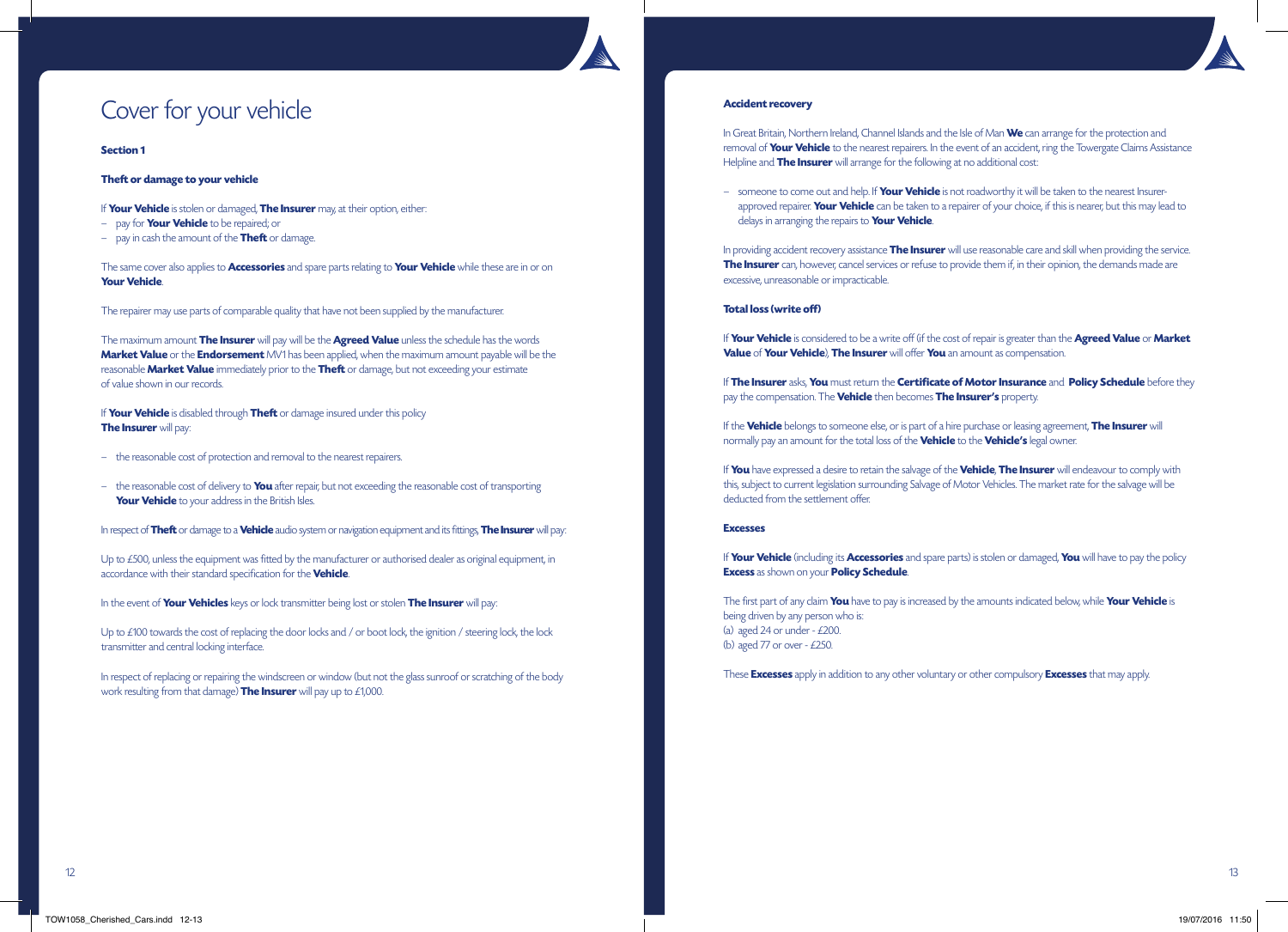# Cover for your vehicle

### **Section 1**

# **Theft or damage to your vehicle**

- If **Your Vehicle** is stolen or damaged, **The Insurer** may, at their option, either:
- pay for **Your Vehicle** to be repaired; or
- pay in cash the amount of the **Theft** or damage.

The same cover also applies to **Accessories** and spare parts relating to **Your Vehicle** while these are in or on **Your Vehicle**.

The repairer may use parts of comparable quality that have not been supplied by the manufacturer.

The maximum amount **The Insurer** will pay will be the **Agreed Value** unless the schedule has the words **Market Value** or the **Endorsement** MV1 has been applied, when the maximum amount payable will be the reasonable **Market Value** immediately prior to the **Theft** or damage, but not exceeding your estimate of value shown in our records.

If **Your Vehicle** is disabled through **Theft** or damage insured under this policy **The Insurer** will pay:

- the reasonable cost of protection and removal to the nearest repairers.
- the reasonable cost of delivery to **You** after repair, but not exceeding the reasonable cost of transporting **Your Vehicle** to your address in the British Isles.

In respect of **Theft** or damage to a **Vehicle** audio system or navigation equipment and its fittings, **The Insurer** will pay:

Up to £500, unless the equipment was fitted by the manufacturer or authorised dealer as original equipment, in accordance with their standard specification for the **Vehicle**.

In the event of **Your Vehicles** keys or lock transmitter being lost or stolen **The Insurer** will pay:

Up to £100 towards the cost of replacing the door locks and / or boot lock, the ignition / steering lock, the lock transmitter and central locking interface.

In respect of replacing or repairing the windscreen or window (but not the glass sunroof or scratching of the body work resulting from that damage) **The Insurer** will pay up to £1,000.

### **Accident recovery**

In Great Britain, Northern Ireland, Channel Islands and the Isle of Man **We** can arrange for the protection and removal of **Your Vehicle** to the nearest repairers. In the event of an accident, ring the Towergate Claims Assistance Helpline and **The Insurer** will arrange for the following at no additional cost:

– someone to come out and help. If **Your Vehicle** is not roadworthy it will be taken to the nearest Insurerapproved repairer. **Your Vehicle** can be taken to a repairer of your choice, if this is nearer, but this may lead to delays in arranging the repairs to **Your Vehicle**.

In providing accident recovery assistance **The Insurer** will use reasonable care and skill when providing the service. **The Insurer** can, however, cancel services or refuse to provide them if, in their opinion, the demands made are excessive, unreasonable or impracticable.

# **Total loss (write off)**

If **Your Vehicle** is considered to be a write off (if the cost of repair is greater than the **Agreed Value** or **Market Value** of **Your Vehicle**), **The Insurer** will offer **You** an amount as compensation.

If **The Insurer** asks, **You** must return the **Certificate of Motor Insurance** and **Policy Schedule** before they pay the compensation. The **Vehicle** then becomes **The Insurer's** property.

If the **Vehicle** belongs to someone else, or is part of a hire purchase or leasing agreement, **The Insurer** will normally pay an amount for the total loss of the **Vehicle** to the **Vehicle's** legal owner.

If **You** have expressed a desire to retain the salvage of the **Vehicle**, **The Insurer** will endeavour to comply with this, subject to current legislation surrounding Salvage of Motor Vehicles. The market rate for the salvage will be deducted from the settlement offer.

### **Excesses**

If **Your Vehicle** (including its **Accessories** and spare parts) is stolen or damaged, **You** will have to pay the policy **Excess** as shown on your **Policy Schedule**.

The first part of any claim **You** have to pay is increased by the amounts indicated below, while **Your Vehicle** is being driven by any person who is: (a) aged 24 or under -  $£200$ . (b) aged 77 or over  $-$  £250.

These **Excesses** apply in addition to any other voluntary or other compulsory **Excesses** that may apply.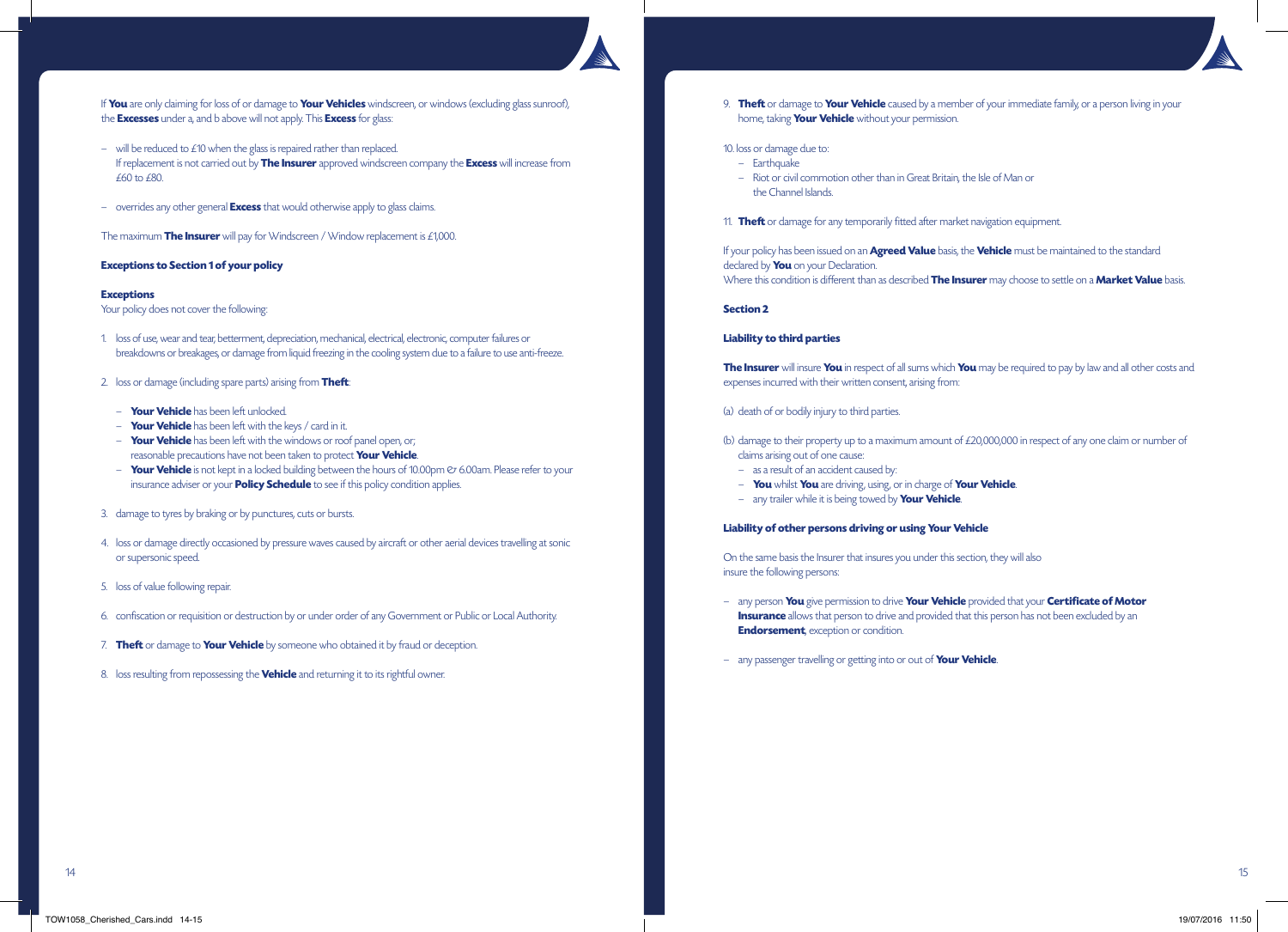

If **You** are only claiming for loss of or damage to **Your Vehicles** windscreen, or windows (excluding glass sunroof), the **Excesses** under a, and b above will not apply. This **Excess** for glass:

- will be reduced to £10 when the glass is repaired rather than replaced. If replacement is not carried out by **The Insurer** approved windscreen company the **Excess** will increase from £60 to £80.
- overrides any other general **Excess** that would otherwise apply to glass claims.

The maximum **The Insurer** will pay for Windscreen / Window replacement is £1,000.

### **Exceptions to Section 1 of your policy**

#### **Exceptions**

Your policy does not cover the following:

- 1. loss of use, wear and tear, betterment, depreciation, mechanical, electrical, electronic, computer failures or breakdowns or breakages, or damage from liquid freezing in the cooling system due to a failure to use anti-freeze.
- 2. loss or damage (including spare parts) arising from **Theft**:
	- **Your Vehicle** has been left unlocked.
	- **Your Vehicle** has been left with the keys / card in it.
	- **Your Vehicle** has been left with the windows or roof panel open, or; reasonable precautions have not been taken to protect **Your Vehicle**.
	- **Your Vehicle** is not kept in a locked building between the hours of 10.00pm  $\varnothing$  6.00am. Please refer to your insurance adviser or your **Policy Schedule** to see if this policy condition applies.
- 3. damage to tyres by braking or by punctures, cuts or bursts.
- 4. loss or damage directly occasioned by pressure waves caused by aircraft or other aerial devices travelling at sonic or supersonic speed.
- 5. loss of value following repair.
- 6. confiscation or requisition or destruction by or under order of any Government or Public or Local Authority.
- 7. **Theft** or damage to **Your Vehicle** by someone who obtained it by fraud or deception.
- 8. loss resulting from repossessing the **Vehicle** and returning it to its rightful owner.

 9. **Theft** or damage to **Your Vehicle** caused by a member of your immediate family, or a person living in your home, taking **Your Vehicle** without your permission.

### 10. loss or damage due to:

- Earthquake
- Riot or civil commotion other than in Great Britain, the Isle of Man or the Channel Islands.
- 11. **Theft** or damage for any temporarily fitted after market navigation equipment.

If your policy has been issued on an **Agreed Value** basis, the **Vehicle** must be maintained to the standard declared by **You** on your Declaration.

Where this condition is different than as described **The Insurer** may choose to settle on a **Market Value** basis.

### **Section 2**

### **Liability to third parties**

**The Insurer** will insure **You** in respect of all sums which **You** may be required to pay by law and all other costs and expenses incurred with their written consent, arising from:

#### (a) death of or bodily injury to third parties.

- (b) damage to their property up to a maximum amount of £20,000,000 in respect of any one claim or number of claims arising out of one cause:
	- as a result of an accident caused by:
	- **You** whilst **You** are driving, using, or in charge of **Your Vehicle**.
	- any trailer while it is being towed by **Your Vehicle**.

### **Liability of other persons driving or using Your Vehicle**

On the same basis the Insurer that insures you under this section, they will also insure the following persons:

- any person **You** give permission to drive **Your Vehicle** provided that your **Certificate of Motor Insurance** allows that person to drive and provided that this person has not been excluded by an **Endorsement**, exception or condition.
- any passenger travelling or getting into or out of **Your Vehicle**.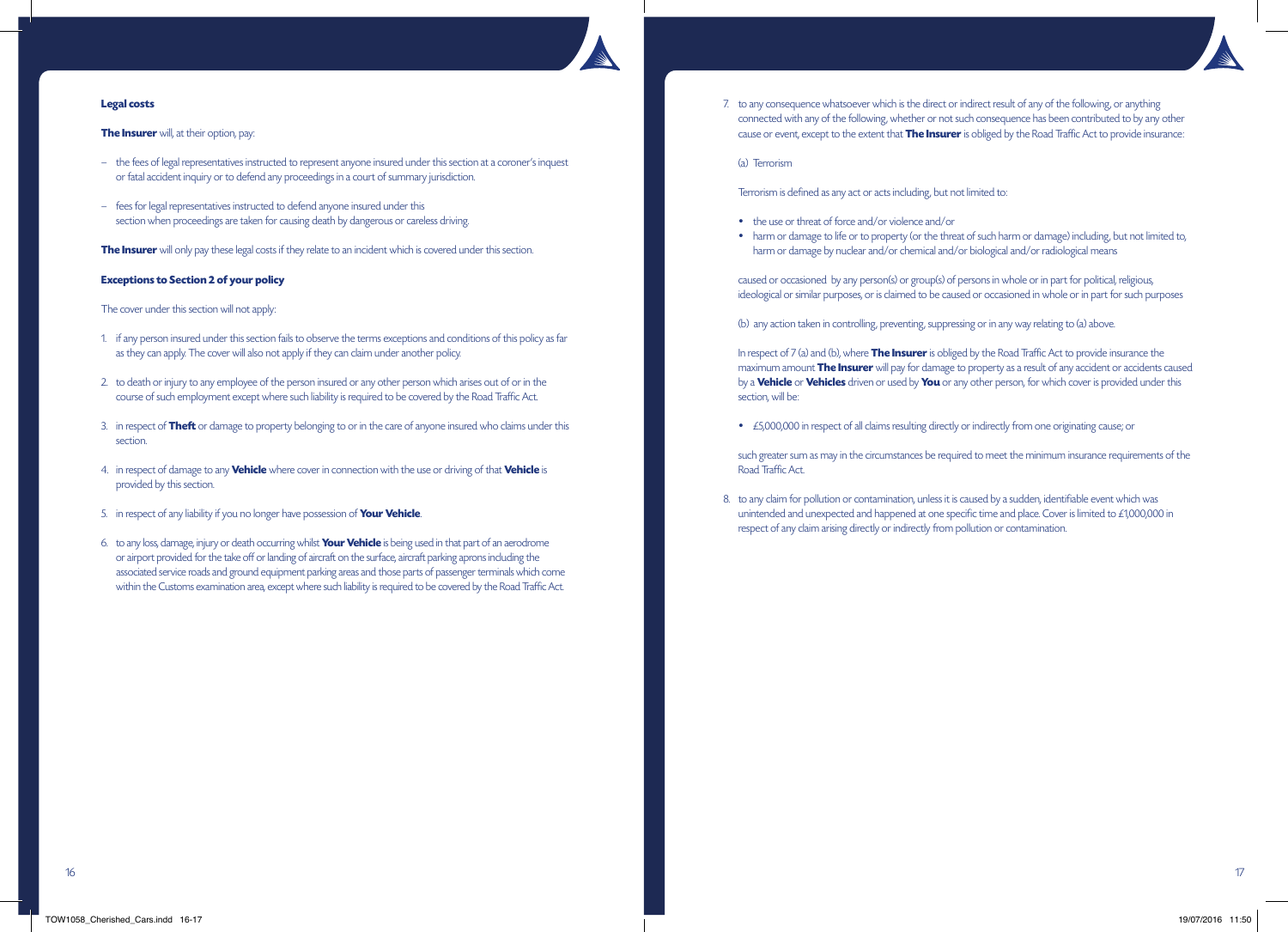

# **Legal costs**

## **The Insurer** will, at their option, pay:

- the fees of legal representatives instructed to represent anyone insured under this section at a coroner's inquest or fatal accident inquiry or to defend any proceedings in a court of summary jurisdiction.
- fees for legal representatives instructed to defend anyone insured under this section when proceedings are taken for causing death by dangerous or careless driving.

**The Insurer** will only pay these legal costs if they relate to an incident which is covered under this section.

### **Exceptions to Section 2 of your policy**

The cover under this section will not apply:

- 1. if any person insured under this section fails to observe the terms exceptions and conditions of this policy as far as they can apply. The cover will also not apply if they can claim under another policy.
- 2. to death or injury to any employee of the person insured or any other person which arises out of or in the course of such employment except where such liability is required to be covered by the Road Traffic Act.
- 3. in respect of **Theft** or damage to property belonging to or in the care of anyone insured who claims under this section.
- 4. in respect of damage to any **Vehicle** where cover in connection with the use or driving of that **Vehicle** is provided by this section.
- 5. in respect of any liability if you no longer have possession of **Your Vehicle**.
- 6. to any loss, damage, injury or death occurring whilst **Your Vehicle** is being used in that part of an aerodrome or airport provided for the take off or landing of aircraft on the surface, aircraft parking aprons including the associated service roads and ground equipment parking areas and those parts of passenger terminals which come within the Customs examination area, except where such liability is required to be covered by the Road Traffic Act.

7. to any consequence whatsoever which is the direct or indirect result of any of the following, or anything connected with any of the following, whether or not such consequence has been contributed to by any other cause or event, except to the extent that **The Insurer** is obliged by the Road Traffic Act to provide insurance:

(a) Terrorism

Terrorism is defined as any act or acts including, but not limited to:

- the use or threat of force and/or violence and/or
- harm or damage to life or to property (or the threat of such harm or damage) including, but not limited to, harm or damage by nuclear and/or chemical and/or biological and/or radiological means

 caused or occasioned by any person(s) or group(s) of persons in whole or in part for political, religious, ideological or similar purposes, or is claimed to be caused or occasioned in whole or in part for such purposes

(b) any action taken in controlling, preventing, suppressing or in any way relating to (a) above.

 In respect of 7 (a) and (b), where **The Insurer** is obliged by the Road Traffic Act to provide insurance the maximum amount **The Insurer** will pay for damage to property as a result of any accident or accidents caused by a **Vehicle** or **Vehicles** driven or used by **You** or any other person, for which cover is provided under this section, will be:

• £5,000,000 in respect of all claims resulting directly or indirectly from one originating cause; or

 such greater sum as may in the circumstances be required to meet the minimum insurance requirements of the Road Traffic Act.

8. to any claim for pollution or contamination, unless it is caused by a sudden, identifiable event which was unintended and unexpected and happened at one specific time and place. Cover is limited to £1,000,000 in respect of any claim arising directly or indirectly from pollution or contamination.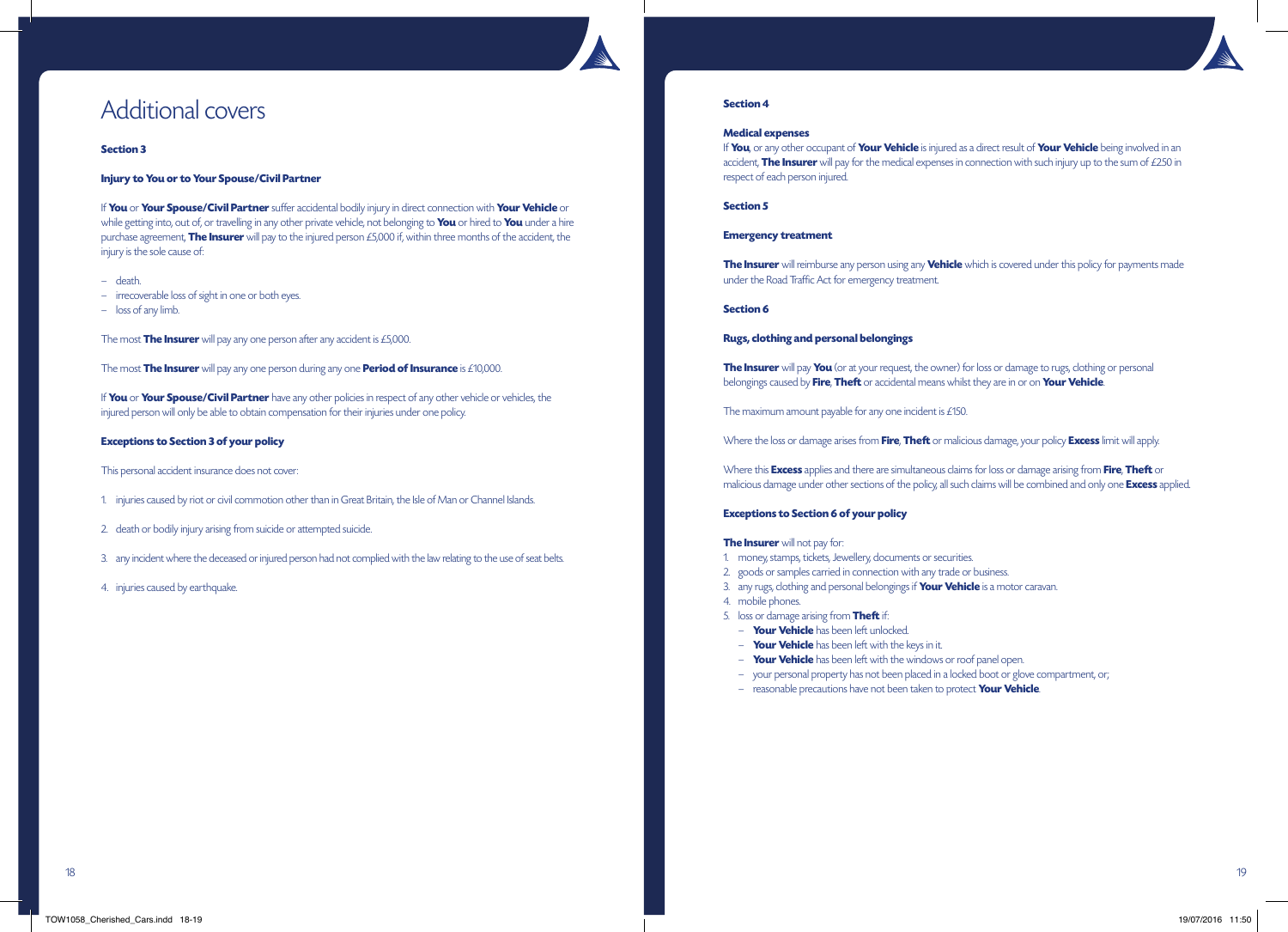# Additional covers

### **Section 3**

### **Injury to You or to Your Spouse/Civil Partner**

If **You** or **Your Spouse/Civil Partner** suffer accidental bodily injury in direct connection with **Your Vehicle** or while getting into, out of, or travelling in any other private vehicle, not belonging to **You** or hired to **You** under a hire purchase agreement, **The Insurer** will pay to the injured person £5,000 if, within three months of the accident, the injury is the sole cause of:

- death.
- irrecoverable loss of sight in one or both eyes.
- loss of any limb.

The most **The Insurer** will pay any one person after any accident is £5,000.

The most **The Insurer** will pay any one person during any one **Period of Insurance** is £10,000.

If **You** or **Your Spouse/Civil Partner** have any other policies in respect of any other vehicle or vehicles, the injured person will only be able to obtain compensation for their injuries under one policy.

### **Exceptions to Section 3 of your policy**

This personal accident insurance does not cover:

- 1. injuries caused by riot or civil commotion other than in Great Britain, the Isle of Man or Channel Islands.
- 2. death or bodily injury arising from suicide or attempted suicide.
- 3. any incident where the deceased or injured person had not complied with the law relating to the use of seat belts.
- 4. injuries caused by earthquake.



### **Section 4**

### **Medical expenses**

If **You**, or any other occupant of **Your Vehicle** is injured as a direct result of **Your Vehicle** being involved in an accident, **The Insurer** will pay for the medical expenses in connection with such injury up to the sum of £250 in respect of each person injured.

# **Section 5**

### **Emergency treatment**

**The Insurer** will reimburse any person using any **Vehicle** which is covered under this policy for payments made under the Road Traffic Act for emergency treatment.

### **Section 6**

### **Rugs, clothing and personal belongings**

**The Insurer** will pay You (or at your request, the owner) for loss or damage to rugs, clothing or personal belongings caused by **Fire**, **Theft** or accidental means whilst they are in or on **Your Vehicle**.

The maximum amount payable for any one incident is £150.

Where the loss or damage arises from **Fire**, **Theft** or malicious damage, your policy **Excess** limit will apply.

Where this **Excess** applies and there are simultaneous claims for loss or damage arising from **Fire**, **Theft** or malicious damage under other sections of the policy, all such claims will be combined and only one **Excess** applied.

### **Exceptions to Section 6 of your policy**

### **The Insurer** will not pay for:

- 1. money, stamps, tickets, Jewellery, documents or securities.
- 2. goods or samples carried in connection with any trade or business.
- 3. any rugs, clothing and personal belongings if **Your Vehicle** is a motor caravan.
- 4. mobile phones.
- 5. loss or damage arising from **Theft** if:
	- **Your Vehicle** has been left unlocked.
	- **Your Vehicle** has been left with the keys in it.
	- **Your Vehicle** has been left with the windows or roof panel open.
	- your personal property has not been placed in a locked boot or glove compartment, or;
	- reasonable precautions have not been taken to protect **Your Vehicle**.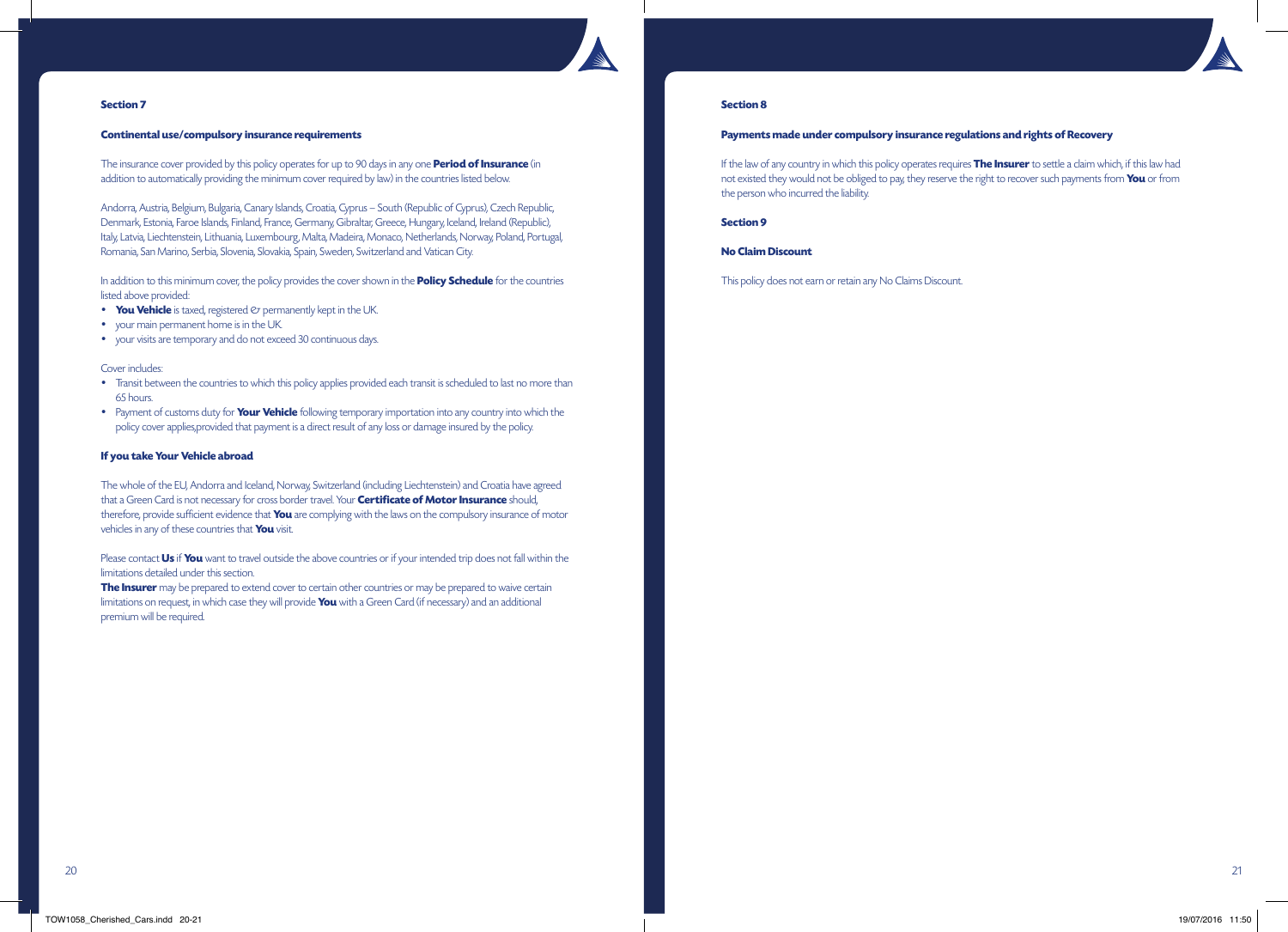

# **Continental use/compulsory insurance requirements**

The insurance cover provided by this policy operates for up to 90 days in any one **Period of Insurance** (in addition to automatically providing the minimum cover required by law) in the countries listed below.

Andorra, Austria, Belgium, Bulgaria, Canary Islands, Croatia, Cyprus – South (Republic of Cyprus), Czech Republic, Denmark, Estonia, Faroe Islands, Finland, France, Germany, Gibraltar, Greece, Hungary, Iceland, Ireland (Republic), Italy, Latvia, Liechtenstein, Lithuania, Luxembourg, Malta, Madeira, Monaco, Netherlands, Norway, Poland, Portugal, Romania, San Marino, Serbia, Slovenia, Slovakia, Spain, Sweden, Switzerland and Vatican City.

In addition to this minimum cover, the policy provides the cover shown in the **Policy Schedule** for the countries listed above provided:

- **You Vehicle** is taxed, registered  $\oslash$  permanently kept in the UK.
- your main permanent home is in the UK.
- your visits are temporary and do not exceed 30 continuous days.

# Cover includes:

- Transit between the countries to which this policy applies provided each transit is scheduled to last no more than 65 hours.
- Payment of customs duty for **Your Vehicle** following temporary importation into any country into which the policy cover applies,provided that payment is a direct result of any loss or damage insured by the policy.

# **If you take Your Vehicle abroad**

The whole of the EU, Andorra and Iceland, Norway, Switzerland (including Liechtenstein) and Croatia have agreed that a Green Card is not necessary for cross border travel. Your **Certificate of Motor Insurance** should, therefore, provide sufficient evidence that **You** are complying with the laws on the compulsory insurance of motor vehicles in any of these countries that **You** visit.

Please contact **Us** if **You** want to travel outside the above countries or if your intended trip does not fall within the limitations detailed under this section.

**The Insurer** may be prepared to extend cover to certain other countries or may be prepared to waive certain limitations on request, in which case they will provide **You** with a Green Card (if necessary) and an additional premium will be required.

# **Section 8**

# **Payments made under compulsory insurance regulations and rights of Recovery**

If the law of any country in which this policy operates requires **The Insurer** to settle a claim which, if this law had not existed they would not be obliged to pay, they reserve the right to recover such payments from **You** or from the person who incurred the liability.

**Section 9**

# **No Claim Discount**

This policy does not earn or retain any No Claims Discount.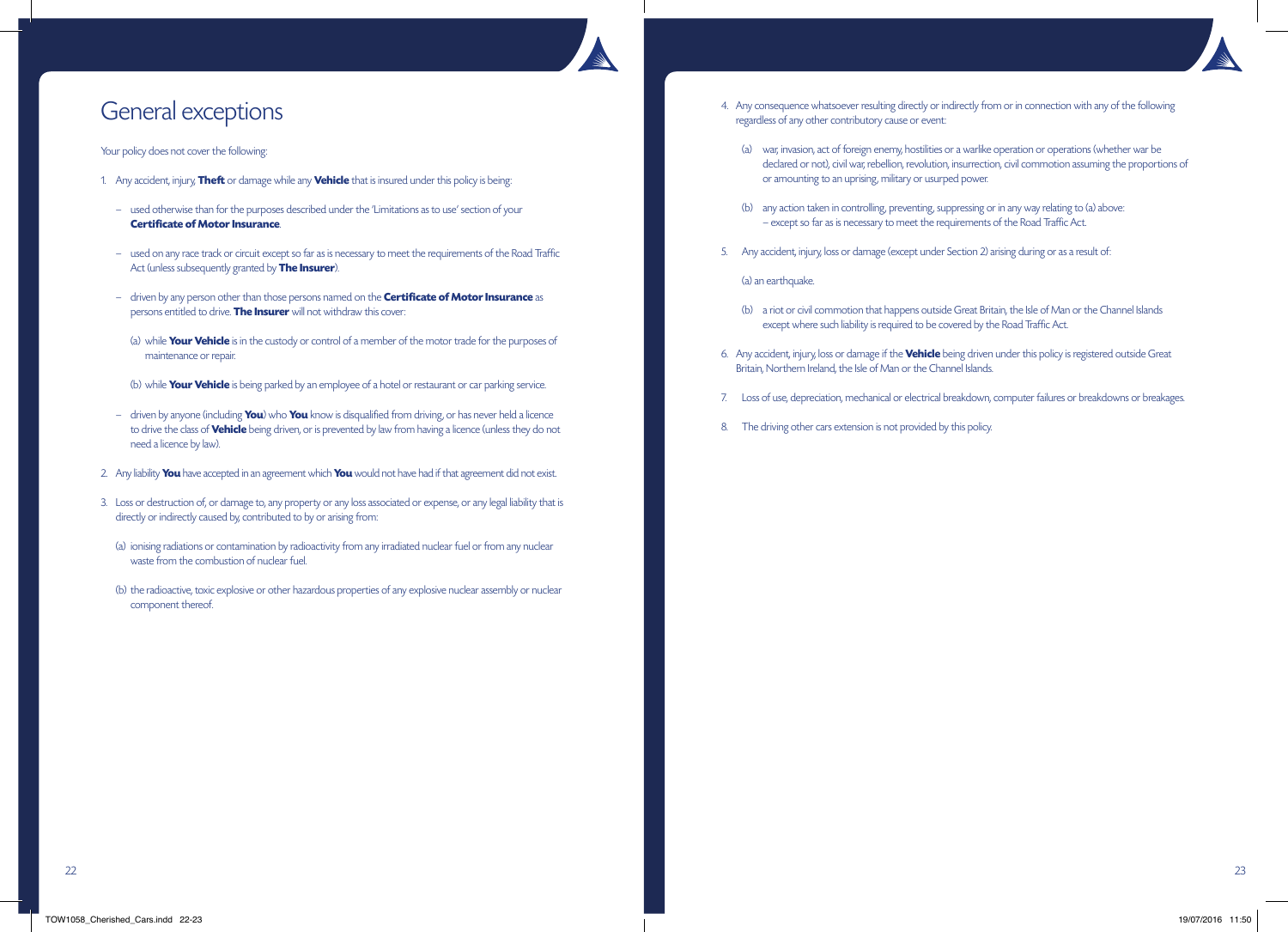

# General exceptions

# Your policy does not cover the following:

- 1. Any accident, injury, **Theft** or damage while any **Vehicle** that is insured under this policy is being:
	- used otherwise than for the purposes described under the 'Limitations as to use' section of your **Certificate of Motor Insurance**.
	- used on any race track or circuit except so far as is necessary to meet the requirements of the Road Traffic Act (unless subsequently granted by **The Insurer**).
	- driven by any person other than those persons named on the **Certificate of Motor Insurance** as persons entitled to drive. **The Insurer** will not withdraw this cover:
	- (a) while **Your Vehicle** is in the custody or control of a member of the motor trade for the purposes of maintenance or repair.
	- (b) while **Your Vehicle** is being parked by an employee of a hotel or restaurant or car parking service.
	- driven by anyone (including **You**) who **You** know is disqualified from driving, or has never held a licence to drive the class of **Vehicle** being driven, or is prevented by law from having a licence (unless they do not need a licence by law).
- 2. Any liability **You** have accepted in an agreement which **You** would not have had if that agreement did not exist.
- 3. Loss or destruction of, or damage to, any property or any loss associated or expense, or any legal liability that is directly or indirectly caused by, contributed to by or arising from:
	- (a) ionising radiations or contamination by radioactivity from any irradiated nuclear fuel or from any nuclear waste from the combustion of nuclear fuel.
	- (b) the radioactive, toxic explosive or other hazardous properties of any explosive nuclear assembly or nuclear component thereof.
- 4. Any consequence whatsoever resulting directly or indirectly from or in connection with any of the following regardless of any other contributory cause or event:
	- (a) war, invasion, act of foreign enemy, hostilities or a warlike operation or operations (whether war be declared or not), civil war, rebellion, revolution, insurrection, civil commotion assuming the proportions of or amounting to an uprising, military or usurped power.
	- (b) any action taken in controlling, preventing, suppressing or in any way relating to (a) above: – except so far as is necessary to meet the requirements of the Road Traffic Act.
- 5. Any accident, injury, loss or damage (except under Section 2) arising during or as a result of:

(a) an earthquake.

- (b) a riot or civil commotion that happens outside Great Britain, the Isle of Man or the Channel Islands except where such liability is required to be covered by the Road Traffic Act.
- 6. Any accident, injury, loss or damage if the **Vehicle** being driven under this policy is registered outside Great Britain, Northern Ireland, the Isle of Man or the Channel Islands.
- 7. Loss of use, depreciation, mechanical or electrical breakdown, computer failures or breakdowns or breakages.
- 8. The driving other cars extension is not provided by this policy.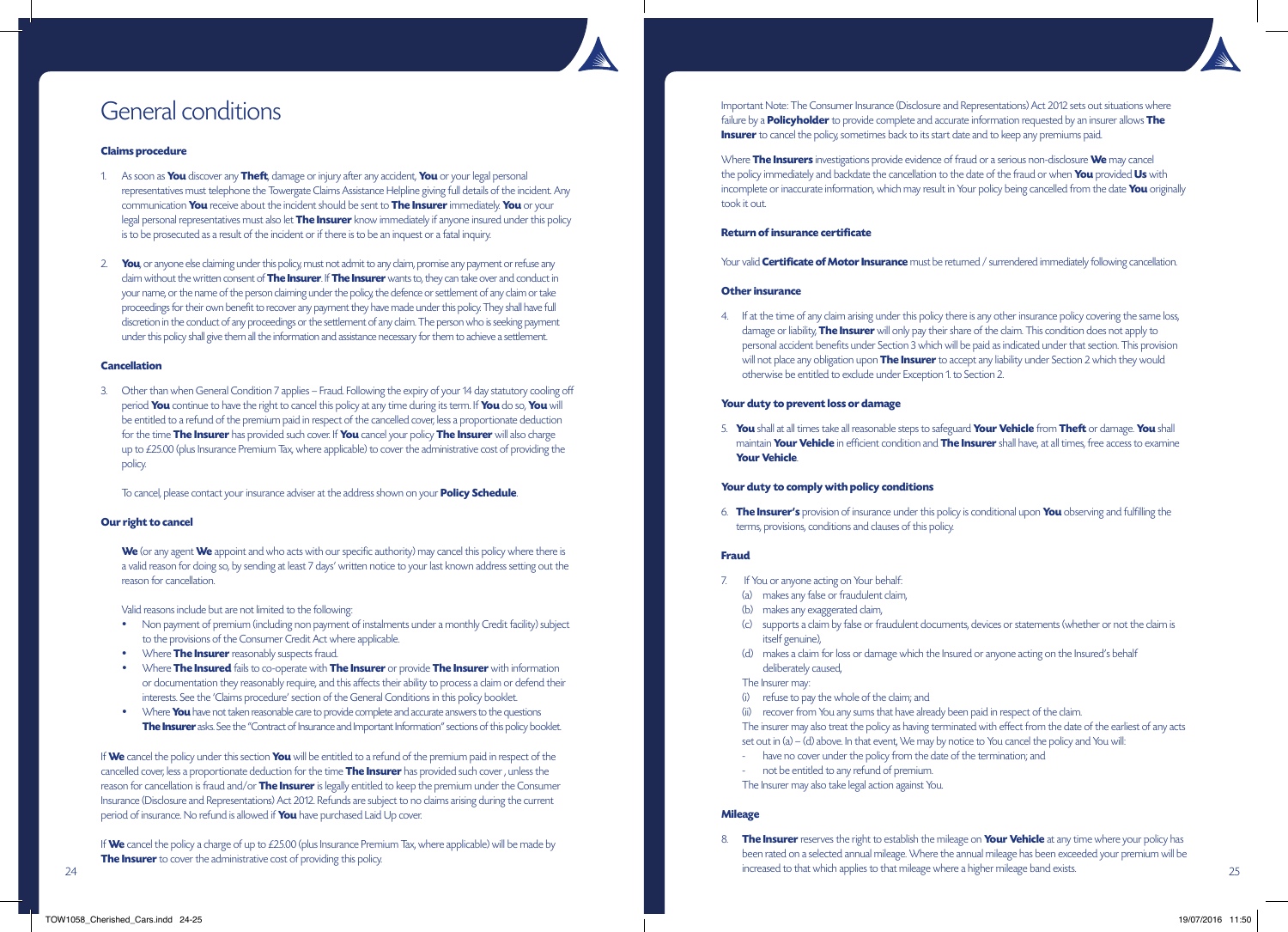

# General conditions

### **Claims procedure**

- 1. As soon as **You** discover any **Theft**, damage or injury after any accident, **You** or your legal personal representatives must telephone the Towergate Claims Assistance Helpline giving full details of the incident. Any communication **You** receive about the incident should be sent to **The Insurer** immediately. **You** or your legal personal representatives must also let **The Insurer** know immediately if anyone insured under this policy is to be prosecuted as a result of the incident or if there is to be an inquest or a fatal inquiry.
- 2. **You**, or anyone else claiming under this policy, must not admit to any claim, promise any payment or refuse any claim without the written consent of **The Insurer**. If **The Insurer** wants to, they can take over and conduct in your name, or the name of the person claiming under the policy, the defence or settlement of any claim or take proceedings for their own benefit to recover any payment they have made under this policy. They shall have full discretion in the conduct of any proceedings or the settlement of any claim. The person who is seeking payment under this policy shall give them all the information and assistance necessary for them to achieve a settlement.

### **Cancellation**

3. Other than when General Condition 7 applies – Fraud. Following the expiry of your 14 day statutory cooling off period **You** continue to have the right to cancel this policy at any time during its term. If **You** do so, **You** will be entitled to a refund of the premium paid in respect of the cancelled cover, less a proportionate deduction for the time **The Insurer** has provided such cover. If **You** cancel your policy **The Insurer** will also charge up to £25.00 (plus Insurance Premium Tax, where applicable) to cover the administrative cost of providing the policy.

To cancel, please contact your insurance adviser at the address shown on your **Policy Schedule**.

### **Our right to cancel**

**We** (or any agent **We** appoint and who acts with our specific authority) may cancel this policy where there is a valid reason for doing so, by sending at least 7 days' written notice to your last known address setting out the reason for cancellation.

Valid reasons include but are not limited to the following:

- Non payment of premium (including non payment of instalments under a monthly Credit facility) subject to the provisions of the Consumer Credit Act where applicable.
- Where **The Insurer** reasonably suspects fraud.
- Where **The Insured** fails to co-operate with **The Insurer** or provide **The Insurer** with information or documentation they reasonably require, and this affects their ability to process a claim or defend their interests. See the 'Claims procedure' section of the General Conditions in this policy booklet.
- Where **You** have not taken reasonable care to provide complete and accurate answers to the questions **The Insurer** asks. See the "Contract of Insurance and Important Information" sections of this policy booklet.

If **We** cancel the policy under this section **You** will be entitled to a refund of the premium paid in respect of the cancelled cover, less a proportionate deduction for the time **The Insurer** has provided such cover , unless the reason for cancellation is fraud and/or **The Insurer** is legally entitled to keep the premium under the Consumer Insurance (Disclosure and Representations) Act 2012. Refunds are subject to no claims arising during the current period of insurance. No refund is allowed if **You** have purchased Laid Up cover.

If **We** cancel the policy a charge of up to £25.00 (plus Insurance Premium Tax, where applicable) will be made by **The Insurer** to cover the administrative cost of providing this policy.

Important Note: The Consumer Insurance (Disclosure and Representations) Act 2012 sets out situations where failure by a **Policyholder** to provide complete and accurate information requested by an insurer allows **The Insurer** to cancel the policy, sometimes back to its start date and to keep any premiums paid.

Where **The Insurers** investigations provide evidence of fraud or a serious non-disclosure **We** may cancel the policy immediately and backdate the cancellation to the date of the fraud or when **You** provided **Us** with incomplete or inaccurate information, which may result in Your policy being cancelled from the date **You** originally took it out.

# **Return of insurance certificate**

Your valid **Certificate of Motor Insurance** must be returned / surrendered immediately following cancellation.

### **Other insurance**

4. If at the time of any claim arising under this policy there is any other insurance policy covering the same loss, damage or liability, **The Insurer** will only pay their share of the claim. This condition does not apply to personal accident benefits under Section 3 which will be paid as indicated under that section. This provision will not place any obligation upon **The Insurer** to accept any liability under Section 2 which they would otherwise be entitled to exclude under Exception 1. to Section 2.

### **Your duty to prevent loss or damage**

5. **You** shall at all times take all reasonable steps to safeguard **Your Vehicle** from **Theft** or damage. **You** shall maintain **Your Vehicle** in efficient condition and **The Insurer** shall have, at all times, free access to examine **Your Vehicle**.

### **Your duty to comply with policy conditions**

6. **The Insurer's** provision of insurance under this policy is conditional upon **You** observing and fulfilling the terms, provisions, conditions and clauses of this policy.

# **Fraud**

- 7. If You or anyone acting on Your behalf:
	- (a) makes any false or fraudulent claim,
	- (b) makes any exaggerated claim,
	- (c) supports a claim by false or fraudulent documents, devices or statements (whether or not the claim is itself genuine),
	- (d) makes a claim for loss or damage which the Insured or anyone acting on the Insured's behalf deliberately caused,
- The Insurer may:
- (i) refuse to pay the whole of the claim; and
- (ii) recover from You any sums that have already been paid in respect of the claim.
- The insurer may also treat the policy as having terminated with effect from the date of the earliest of any acts
- set out in (a) (d) above. In that event, We may by notice to You cancel the policy and You will:
- have no cover under the policy from the date of the termination; and
- not be entitled to any refund of premium.
- The Insurer may also take legal action against You.

# **Mileage**

8. **The Insurer** reserves the right to establish the mileage on **Your Vehicle** at any time where your policy has been rated on a selected annual mileage. Where the annual mileage has been exceeded your premium will be increased to that which applies to that which applies to that mileage where a higher mileage band exists. 25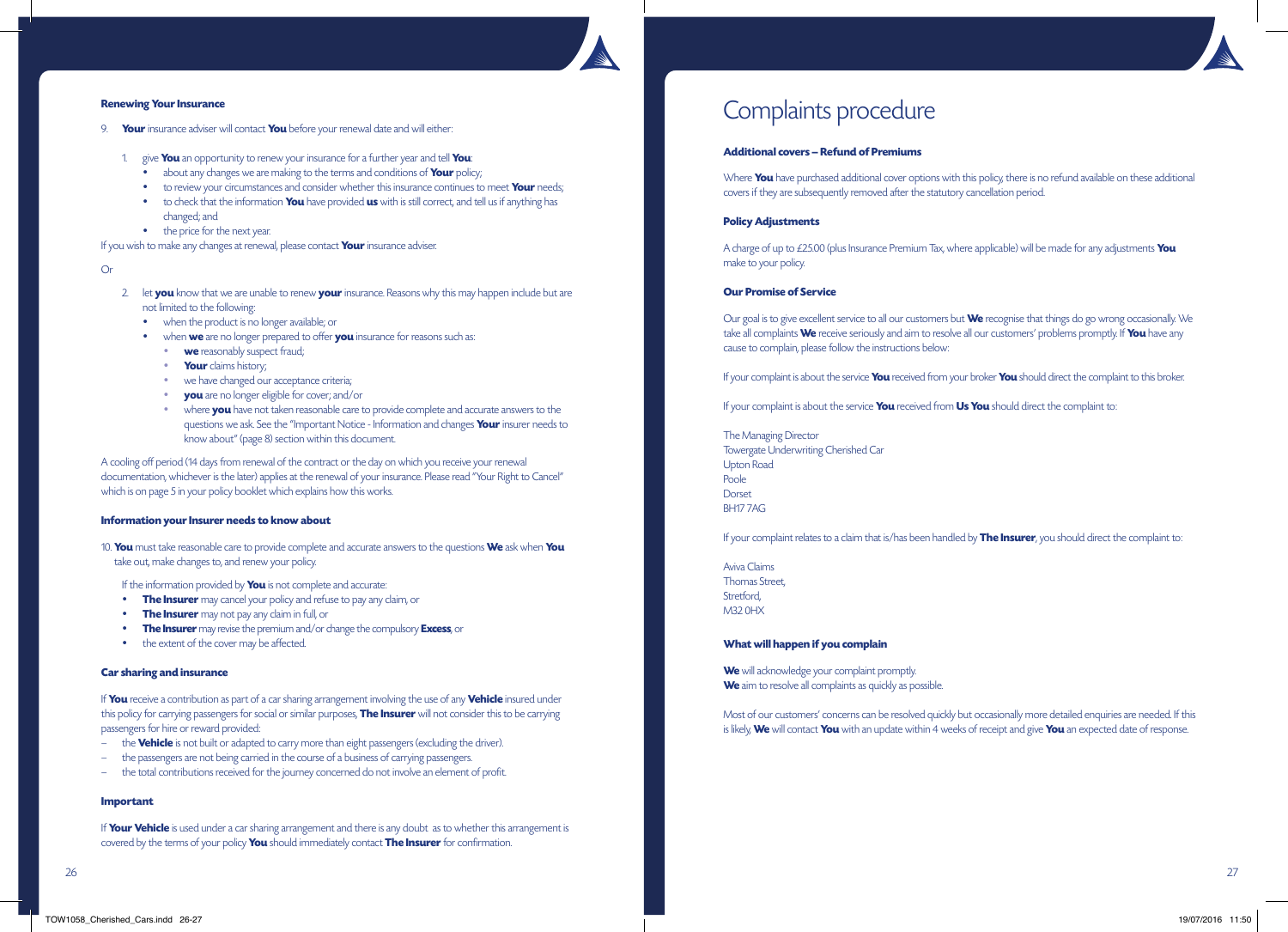### **Renewing Your Insurance**

- 9. **Your** insurance adviser will contact **You** before your renewal date and will either:
	- 1. give **You** an opportunity to renew your insurance for a further year and tell **You**:
		- about any changes we are making to the terms and conditions of **Your** policy;
		- to review your circumstances and consider whether this insurance continues to meet **Your** needs;
		- to check that the information **You** have provided **us** with is still correct, and tell us if anything has changed; and
		- the price for the next year.

If you wish to make any changes at renewal, please contact **Your** insurance adviser.

### Or

- 2. let **you** know that we are unable to renew **your** insurance. Reasons why this may happen include but are not limited to the following:
	- when the product is no longer available; or
	- when **we** are no longer prepared to offer **you** insurance for reasons such as:
		- **we** reasonably suspect fraud;
		- **Your** claims history;
		- we have changed our acceptance criteria;
		- **you** are no longer eligible for cover; and/or
		- where **you** have not taken reasonable care to provide complete and accurate answers to the questions we ask. See the "Important Notice - Information and changes **Your** insurer needs to know about" (page 8) section within this document.

A cooling off period (14 days from renewal of the contract or the day on which you receive your renewal documentation, whichever is the later) applies at the renewal of your insurance. Please read "Your Right to Cancel" which is on page 5 in your policy booklet which explains how this works.

#### **Information your Insurer needs to know about**

10. **You** must take reasonable care to provide complete and accurate answers to the questions **We** ask when **You** take out, make changes to, and renew your policy.

If the information provided by **You** is not complete and accurate:

- **The Insurer** may cancel your policy and refuse to pay any claim, or
- **The Insurer** may not pay any claim in full, or
- **The Insurer** may revise the premium and/or change the compulsory **Excess**, or
- the extent of the cover may be affected.

### **Car sharing and insurance**

If **You** receive a contribution as part of a car sharing arrangement involving the use of any **Vehicle** insured under this policy for carrying passengers for social or similar purposes, **The Insurer** will not consider this to be carrying passengers for hire or reward provided:

- the **Vehicle** is not built or adapted to carry more than eight passengers (excluding the driver).
- the passengers are not being carried in the course of a business of carrying passengers.
- the total contributions received for the journey concerned do not involve an element of profit.

#### **Important**

If **Your Vehicle** is used under a car sharing arrangement and there is any doubt as to whether this arrangement is covered by the terms of your policy **You** should immediately contact **The Insurer** for confirmation.

# Complaints procedure

### **Additional covers – Refund of Premiums**

Where **You** have purchased additional cover options with this policy, there is no refund available on these additional covers if they are subsequently removed after the statutory cancellation period.

### **Policy Adjustments**

A charge of up to £25.00 (plus Insurance Premium Tax, where applicable) will be made for any adjustments **You** make to your policy.

# **Our Promise of Service**

Our goal is to give excellent service to all our customers but **We** recognise that things do go wrong occasionally. We take all complaints **We** receive seriously and aim to resolve all our customers' problems promptly. If **You** have any cause to complain, please follow the instructions below:

If your complaint is about the service **You** received from your broker **You** should direct the complaint to this broker.

If your complaint is about the service **You** received from **Us You** should direct the complaint to:

The Managing Director Towergate Underwriting Cherished Car Upton Road Poole Dorset BH17 7AG

If your complaint relates to a claim that is/has been handled by **The Insurer**, you should direct the complaint to:

Aviva Claims Thomas Street, Stretford, M32 0HX

### **What will happen if you complain**

**We** will acknowledge your complaint promptly. **We** aim to resolve all complaints as quickly as possible.

Most of our customers' concerns can be resolved quickly but occasionally more detailed enquiries are needed. If this is likely, **We** will contact **You** with an update within 4 weeks of receipt and give **You** an expected date of response.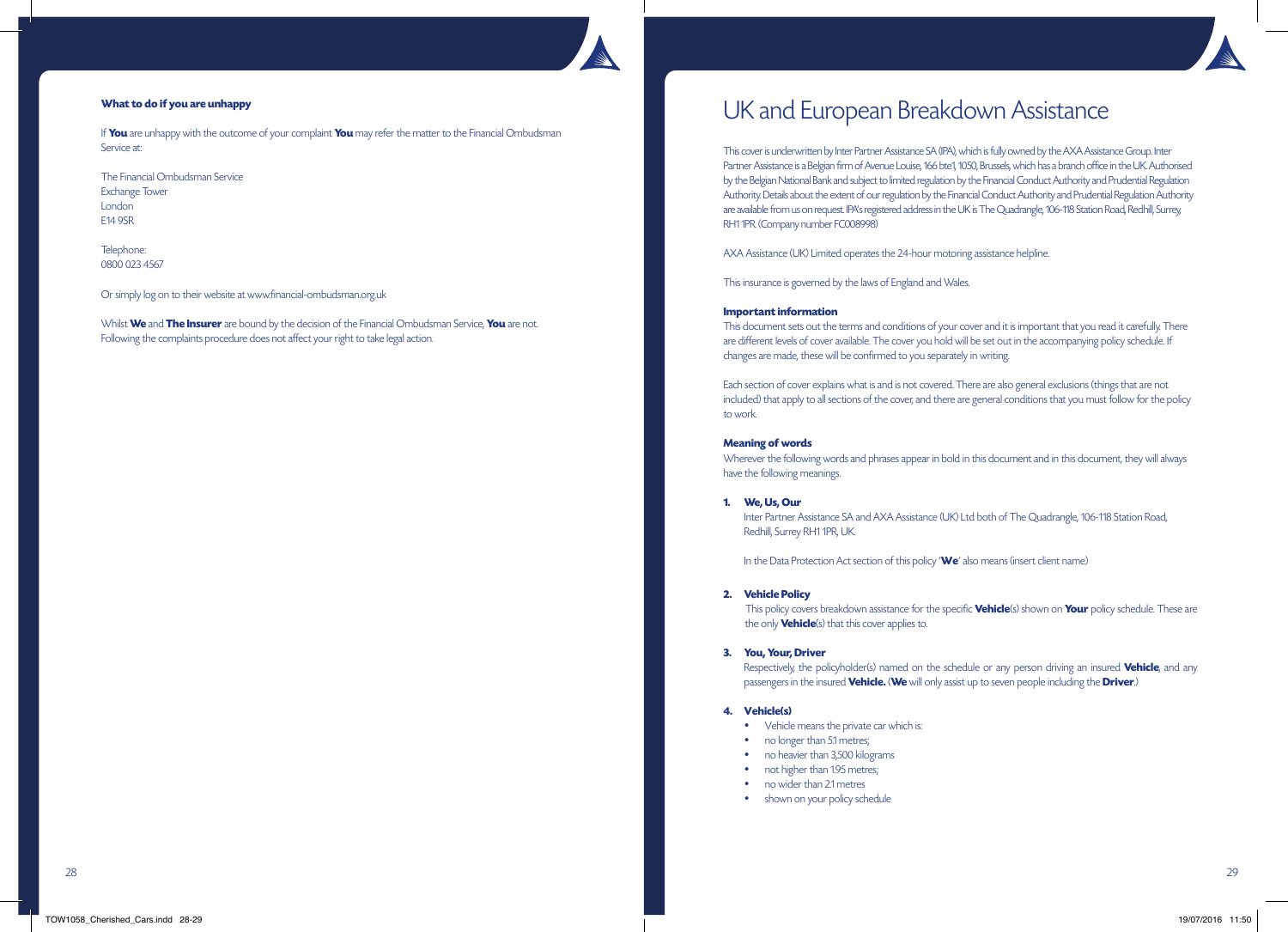# **What to do if you are unhappy**

If **You** are unhappy with the outcome of your complaint **You** may refer the matter to the Financial Ombudsman Service at:

The Financial Ombudsman Service Exchange Tower London E14 9SR

Telephone: 0800 023 4567

Or simply log on to their website at www.financial-ombudsman.org.uk

Whilst **We** and **The Insurer** are bound by the decision of the Financial Ombudsman Service, **You** are not. Following the complaints procedure does not affect your right to take legal action.

# UK and European Breakdown Assistance

This cover is underwritten by Inter Partner Assistance SA (IPA), which is fully owned by the AXA Assistance Group. Inter Partner Assistance is a Belgian firm of Avenue Louise, 166 bte1, 1050, Brussels, which has a branch office in the UK. Authorised by the Belgian National Bank and subject to limited regulation by the Financial Conduct Authority and Prudential Regulation Authority. Details about the extent of our regulation by the Financial Conduct Authority and Prudential Regulation Authority are available from us on request. IPA's registered address in the UK is The Quadrangle, 106-118 Station Road, Redhill, Surrey, RH1 1PR. (Company number FC008998)

AXA Assistance (UK) Limited operates the 24-hour motoring assistance helpline.

This insurance is governed by the laws of England and Wales.

## **Important information**

This document sets out the terms and conditions of your cover and it is important that you read it carefully. There are different levels of cover available. The cover you hold will be set out in the accompanying policy schedule. If changes are made, these will be confirmed to you separately in writing.

Each section of cover explains what is and is not covered. There are also general exclusions (things that are not included) that apply to all sections of the cover, and there are general conditions that you must follow for the policy to work.

### **Meaning of words**

Wherever the following words and phrases appear in bold in this document and in this document, they will always have the following meanings.

### **1. We, Us, Our**

 Inter Partner Assistance SA and AXA Assistance (UK) Ltd both of The Quadrangle, 106-118 Station Road, Redhill, Surrey RH1 1PR, UK.

In the Data Protection Act section of this policy '**We**' also means (insert client name)

### **2. Vehicle Policy**

 This policy covers breakdown assistance for the specific **Vehicle**(s) shown on **Your** policy schedule. These are the only **Vehicle**(s) that this cover applies to.

### **3. You, Your, Driver**

 Respectively, the policyholder(s) named on the schedule or any person driving an insured **Vehicle**, and any passengers in the insured **Vehicle.** (**We** will only assist up to seven people including the **Driver**.)

### **4. Vehicle(s)**

- Vehicle means the private car which is:
- no longer than 5.1 metres;
- no heavier than 3,500 kilograms
- not higher than 1.95 metres;
- no wider than 2.1 metres
- shown on your policy schedule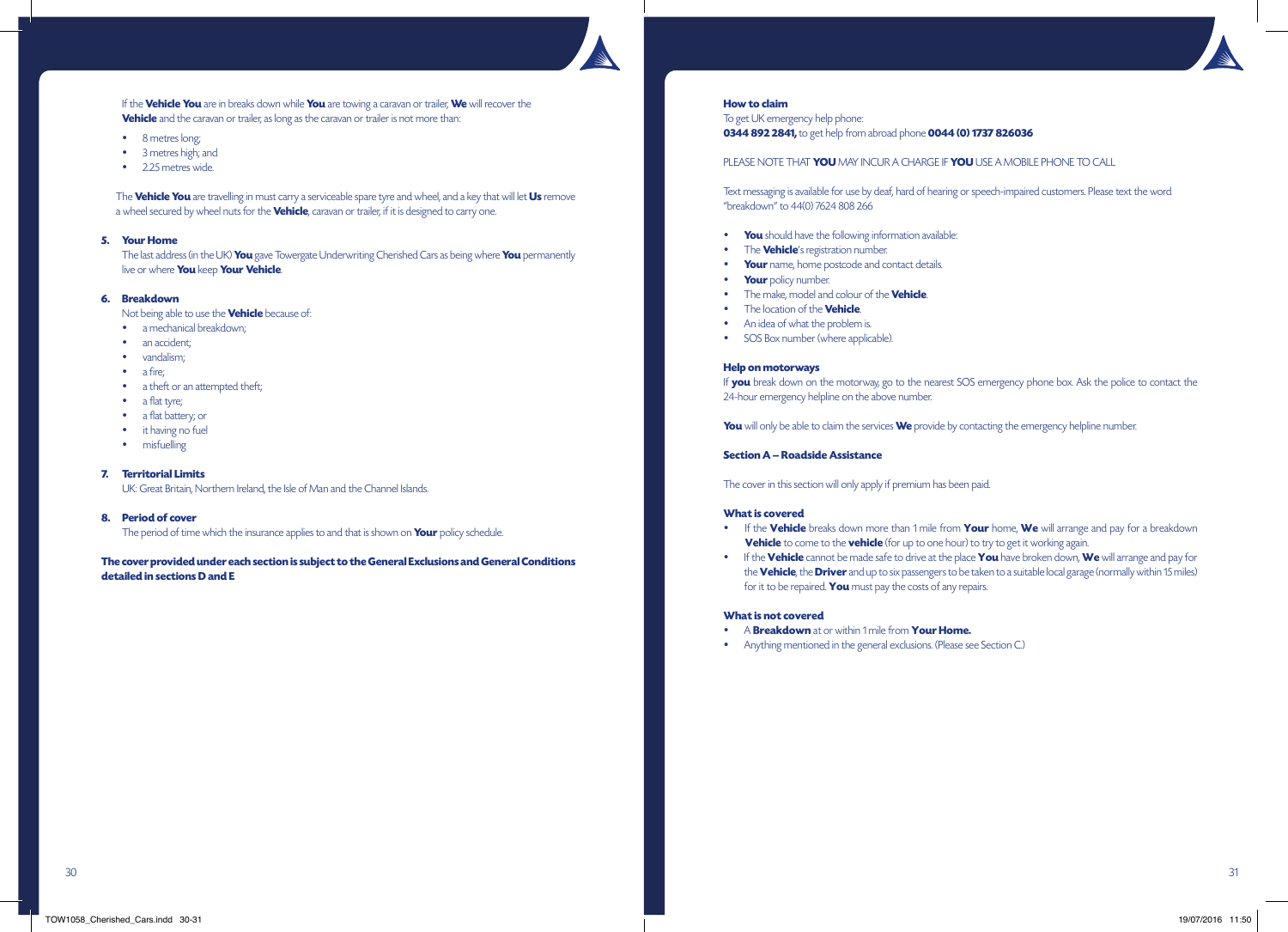If the **Vehicle You** are in breaks down while **You** are towing a caravan or trailer, **We** will recover the **Vehicle** and the caravan or trailer, as long as the caravan or trailer is not more than:

- 8 metres long;
- 3 metres high; and
- 2.25 metres wide.

 The **Vehicle You** are travelling in must carry a serviceable spare tyre and wheel, and a key that will let **Us** remove a wheel secured by wheel nuts for the **Vehicle**, caravan or trailer, if it is designed to carry one.

### **5. Your Home**

 The last address (in the UK) **You** gave Towergate Underwriting Cherished Cars as being where **You** permanently live or where **You** keep **Your Vehicle**.

# **6. Breakdown**

Not being able to use the **Vehicle** because of:

- a mechanical breakdown;
- an accident:
- vandalism;
- a fire;
- a theft or an attempted theft;
- a flat tyre;
- a flat battery; or
- it having no fuel
- misfuelling

### **7. Territorial Limits**

UK: Great Britain, Northern Ireland, the Isle of Man and the Channel Islands.

### **8. Period of cover**

The period of time which the insurance applies to and that is shown on **Your** policy schedule.

# **The cover provided under each section is subject to the General Exclusions and General Conditions detailed in sections D and E**

### **How to claim**

To get UK emergency help phone: **0344 892 2841,** to get help from abroad phone **0044 (0) 1737 826036**

PLEASE NOTE THAT **YOU** MAY INCUR A CHARGE IF **YOU** USE A MOBILE PHONE TO CALL

Text messaging is available for use by deaf, hard of hearing or speech-impaired customers. Please text the word "breakdown" to 44(0) 7624 808 266

- **You** should have the following information available:
- The **Vehicle**'s registration number.
- **Your** name, home postcode and contact details.
- **Your** policy number.
- The make, model and colour of the **Vehicle**.
- The location of the **Vehicle**.
- An idea of what the problem is.
- SOS Box number (where applicable).

### **Help on motorways**

If **you** break down on the motorway, go to the nearest SOS emergency phone box. Ask the police to contact the 24-hour emergency helpline on the above number.

**You** will only be able to claim the services **We** provide by contacting the emergency helpline number.

# **Section A – Roadside Assistance**

The cover in this section will only apply if premium has been paid.

### **What is covered**

- If the **Vehicle** breaks down more than 1 mile from **Your** home, **We** will arrange and pay for a breakdown **Vehicle** to come to the **vehicle** (for up to one hour) to try to get it working again.
- If the **Vehicle** cannot be made safe to drive at the place **You** have broken down, **We** will arrange and pay for the **Vehicle**, the **Driver** and up to six passengers to be taken to a suitable local garage (normally within 15 miles) for it to be repaired. **You** must pay the costs of any repairs.

## **What is not covered**

- A **Breakdown** at or within 1 mile from **Your Home.**
- Anything mentioned in the general exclusions. (Please see Section C.)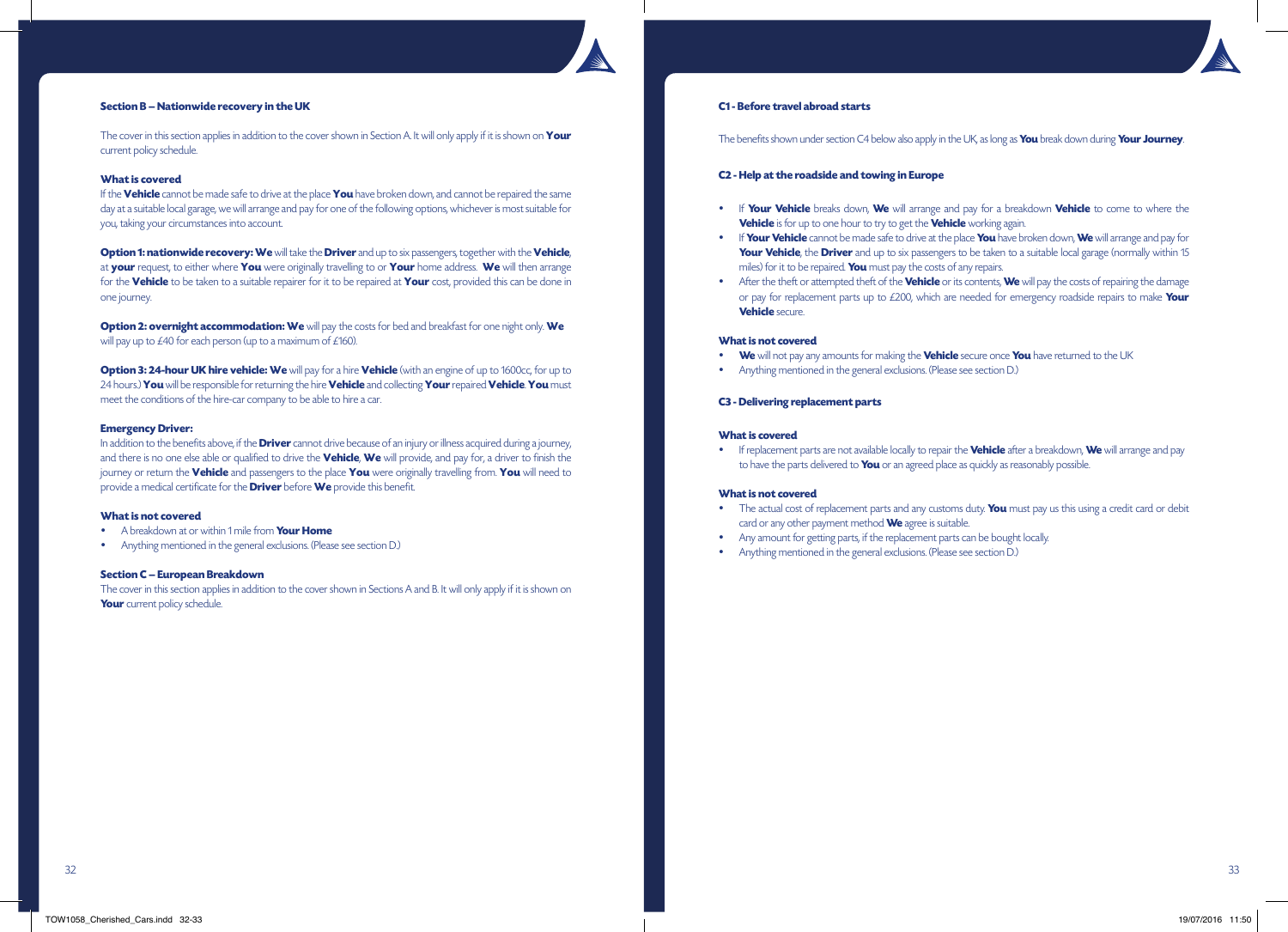### **Section B – Nationwide recovery in the UK**

The cover in this section applies in addition to the cover shown in Section A. It will only apply if it is shown on **Your** current policy schedule.

### **What is covered**

If the **Vehicle** cannot be made safe to drive at the place **You** have broken down, and cannot be repaired the same day at a suitable local garage, we will arrange and pay for one of the following options, whichever is most suitable for you, taking your circumstances into account.

**Option 1: nationwide recovery: We** will take the **Driver** and up to six passengers, together with the **Vehicle**, at **your** request, to either where **You** were originally travelling to or **Your** home address. **We** will then arrange for the **Vehicle** to be taken to a suitable repairer for it to be repaired at **Your** cost, provided this can be done in one journey.

**Option 2: overnight accommodation: We** will pay the costs for bed and breakfast for one night only. We will pay up to £40 for each person (up to a maximum of £160).

**Option 3: 24-hour UK hire vehicle: We** will pay for a hire **Vehicle** (with an engine of up to 1600cc, for up to 24 hours.) **You** will be responsible for returning the hire **Vehicle** and collecting **Your** repaired **Vehicle**. **You** must meet the conditions of the hire-car company to be able to hire a car.

### **Emergency Driver:**

In addition to the benefits above, if the **Driver** cannot drive because of an injury or illness acquired during a journey, and there is no one else able or qualified to drive the **Vehicle**, **We** will provide, and pay for, a driver to finish the journey or return the **Vehicle** and passengers to the place **You** were originally travelling from. **You** will need to provide a medical certificate for the **Driver** before **We** provide this benefit.

### **What is not covered**

- A breakdown at or within 1 mile from **Your Home**
- Anything mentioned in the general exclusions. (Please see section D.)

#### **Section C – European Breakdown**

The cover in this section applies in addition to the cover shown in Sections A and B. It will only apply if it is shown on **Your** current policy schedule.

### **C1 - Before travel abroad starts**

The benefits shown under section C4 below also apply in the UK, as long as **You** break down during **Your Journey**.

### **C2 - Help at the roadside and towing in Europe**

- If **Your Vehicle** breaks down, **We** will arrange and pay for a breakdown **Vehicle** to come to where the **Vehicle** is for up to one hour to try to get the **Vehicle** working again.
- If **Your Vehicle** cannot be made safe to drive at the place **You** have broken down, **We** will arrange and pay for **Your Vehicle**, the **Driver** and up to six passengers to be taken to a suitable local garage (normally within 15 miles) for it to be repaired. **You** must pay the costs of any repairs.
- After the theft or attempted theft of the **Vehicle** or its contents, **We** will pay the costs of repairing the damage or pay for replacement parts up to £200, which are needed for emergency roadside repairs to make **Your Vehicle** secure.

#### **What is not covered**

- **We** will not pay any amounts for making the **Vehicle** secure once **You** have returned to the UK
- Anything mentioned in the general exclusions. (Please see section D.)

### **C3 - Delivering replacement parts**

### **What is covered**

If replacement parts are not available locally to repair the **Vehicle** after a breakdown, **We** will arrange and pay to have the parts delivered to **You** or an agreed place as quickly as reasonably possible.

#### **What is not covered**

- The actual cost of replacement parts and any customs duty. **You** must pay us this using a credit card or debit card or any other payment method **We** agree is suitable.
- Any amount for getting parts, if the replacement parts can be bought locally.
- Anything mentioned in the general exclusions. (Please see section D.)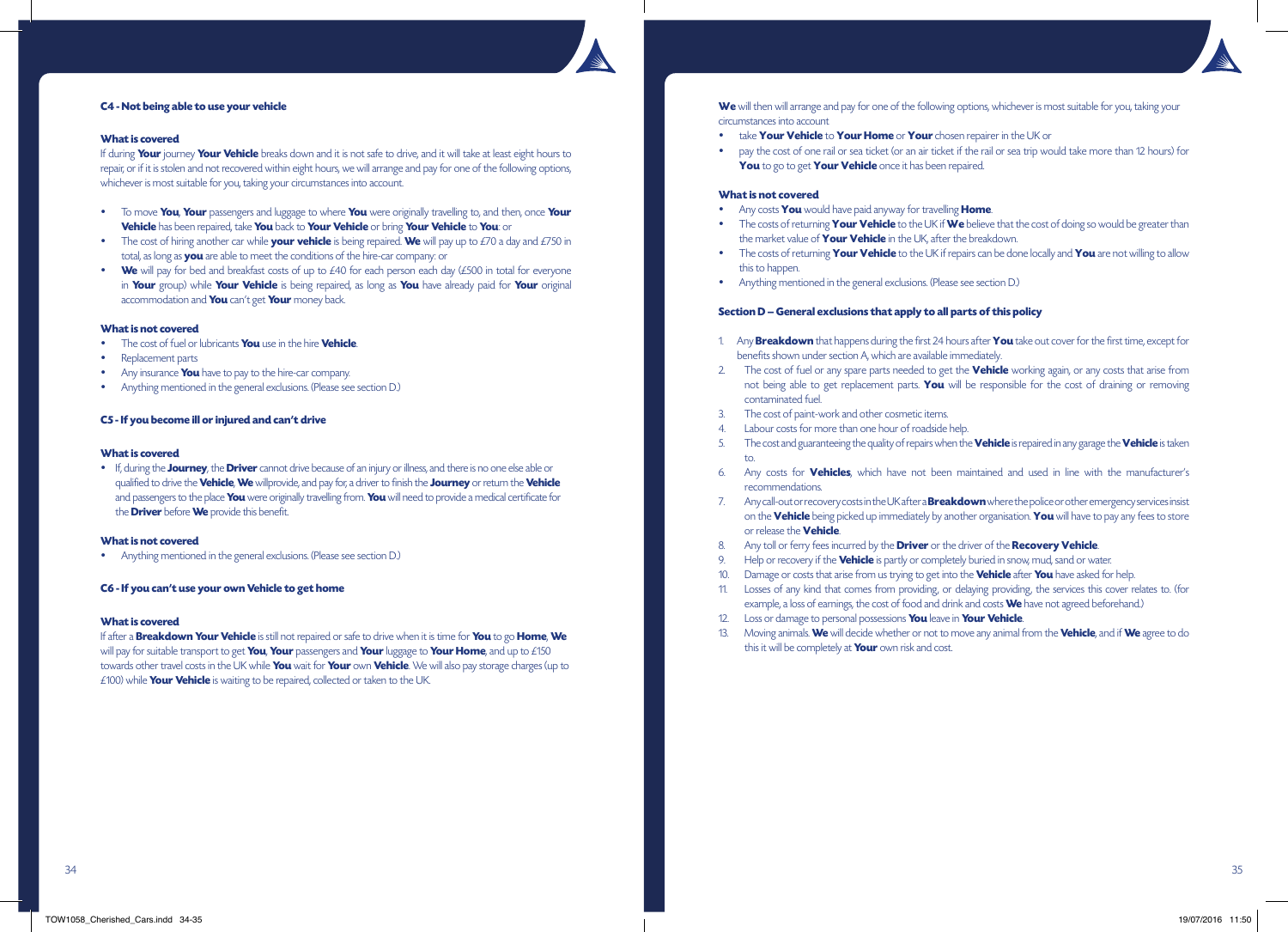

# **C4 - Not being able to use your vehicle**

# **What is covered**

If during **Your** journey **Your Vehicle** breaks down and it is not safe to drive, and it will take at least eight hours to repair, or if it is stolen and not recovered within eight hours, we will arrange and pay for one of the following options, whichever is most suitable for you, taking your circumstances into account.

- To move **You**, **Your** passengers and luggage to where **You** were originally travelling to, and then, once **Your Vehicle** has been repaired, take **You** back to **Your Vehicle** or bring **Your Vehicle** to **You**: or
- $\bullet$  The cost of hiring another car while **your vehicle** is being repaired. We will pay up to £70 a day and £750 in total, as long as **you** are able to meet the conditions of the hire-car company: or
- **We** will pay for bed and breakfast costs of up to £40 for each person each day (£500 in total for everyone in **Your** group) while **Your Vehicle** is being repaired, as long as **You** have already paid for **Your** original accommodation and **You** can't get **Your** money back.

# **What is not covered**

- The cost of fuel or lubricants **You** use in the hire **Vehicle**.
- Replacement parts
- Any insurance **You** have to pay to the hire-car company.
- Anything mentioned in the general exclusions. (Please see section D.)

# **C5 - If you become ill or injured and can't drive**

# **What is covered**

 If, during the **Journey**, the **Driver** cannot drive because of an injury or illness, and there is no one else able or qualified to drive the **Vehicle**, **We** willprovide, and pay for, a driver to finish the **Journey** or return the **Vehicle** and passengers to the place **You** were originally travelling from. **You** will need to provide a medical certificate for the **Driver** before **We** provide this benefit.

# **What is not covered**

Anything mentioned in the general exclusions. (Please see section D.)

# **C6 - If you can't use your own Vehicle to get home**

# **What is covered**

If after a **Breakdown Your Vehicle** is still not repaired or safe to drive when it is time for **You** to go **Home**, **We** will pay for suitable transport to get **You**, **Your** passengers and **Your** luggage to **Your Home**, and up to £150 towards other travel costs in the UK while **You** wait for **Your** own **Vehicle**. We will also pay storage charges (up to £100) while **Your Vehicle** is waiting to be repaired, collected or taken to the UK.

We will then will arrange and pay for one of the following options, whichever is most suitable for you, taking your circumstances into account

- take **Your Vehicle** to **Your Home** or **Your** chosen repairer in the UK or
- pay the cost of one rail or sea ticket (or an air ticket if the rail or sea trip would take more than 12 hours) for **You** to go to get **Your Vehicle** once it has been repaired.

# **What is not covered**

- Any costs **You** would have paid anyway for travelling **Home**.
- The costs of returning **Your Vehicle** to the UK if **We** believe that the cost of doing so would be greater than the market value of **Your Vehicle** in the UK, after the breakdown.
- The costs of returning **Your Vehicle** to the UK if repairs can be done locally and **You** are not willing to allow this to happen.
- Anything mentioned in the general exclusions. (Please see section D.)

# **Section D – General exclusions that apply to all parts of this policy**

- 1. Any **Breakdown** that happens during the first 24 hours after **You** take out cover for the first time, except for benefits shown under section A, which are available immediately.
- 2. The cost of fuel or any spare parts needed to get the **Vehicle** working again, or any costs that arise from not being able to get replacement parts. **You** will be responsible for the cost of draining or removing contaminated fuel.
- 3. The cost of paint-work and other cosmetic items.
- Labour costs for more than one hour of roadside help.
- 5. The cost and guaranteeing the quality of repairs when the **Vehicle** is repaired in any garage the **Vehicle** is taken to.
- 6. Any costs for **Vehicles**, which have not been maintained and used in line with the manufacturer's recommendations.
- 7. Any call-out or recovery costs in the UK after a **Breakdown** where the police or other emergency services insist on the **Vehicle** being picked up immediately by another organisation. **You** will have to pay any fees to store or release the **Vehicle**.
- 8. Any toll or ferry fees incurred by the **Driver** or the driver of the **Recovery Vehicle**.
- Help or recovery if the **Vehicle** is partly or completely buried in snow, mud, sand or water.
- 10. Damage or costs that arise from us trying to get into the **Vehicle** after **You** have asked for help.
- 11. Losses of any kind that comes from providing, or delaying providing, the services this cover relates to. (for example, a loss of earnings, the cost of food and drink and costs **We** have not agreed beforehand.)
- 12. Loss or damage to personal possessions **You** leave in **Your Vehicle**.
- 13. Moving animals. **We** will decide whether or not to move any animal from the **Vehicle**, and if **We** agree to do this it will be completely at **Your** own risk and cost.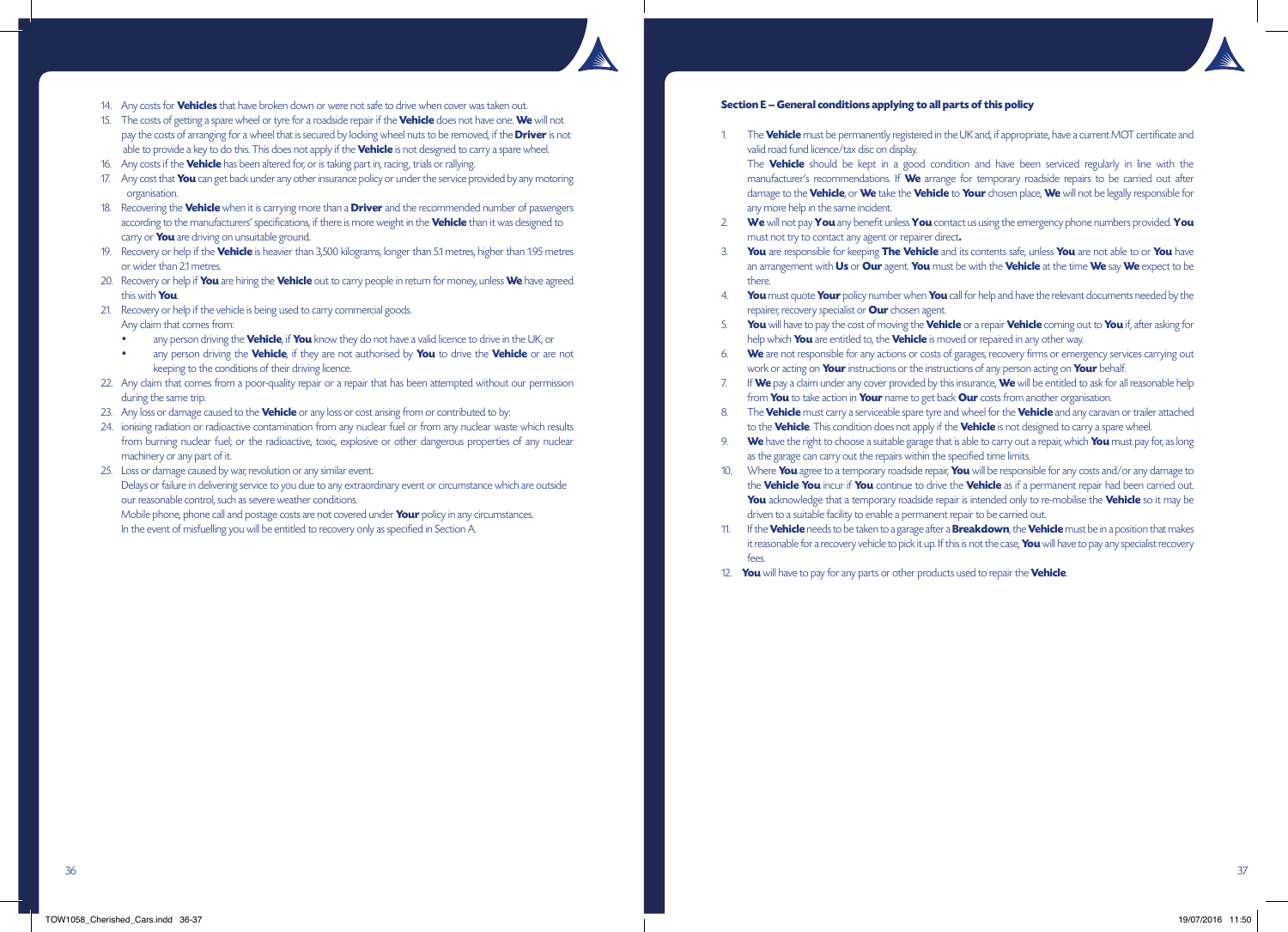

- 14. Any costs for **Vehicles** that have broken down or were not safe to drive when cover was taken out.
- 15. The costs of getting a spare wheel or tyre for a roadside repair if the **Vehicle** does not have one. **We** will not pay the costs of arranging for a wheel that is secured by locking wheel nuts to be removed, if the **Driver** is not able to provide a key to do this. This does not apply if the **Vehicle** is not designed to carry a spare wheel.
- 16. Any costs if the **Vehicle** has been altered for, or is taking part in, racing, trials or rallying.
- 17. Any cost that **You** can get back under any other insurance policy or under the service provided by any motoring organisation.
- 18. Recovering the **Vehicle** when it is carrying more than a **Driver** and the recommended number of passengers according to the manufacturers' specifications, if there is more weight in the **Vehicle** than it was designed to carry or **You** are driving on unsuitable ground.
- 19. Recovery or help if the **Vehicle** is heavier than 3,500 kilograms, longer than 5.1 metres, higher than 1.95 metres or wider than 2.1 metres.
- 20. Recovery or help if **You** are hiring the **Vehicle** out to carry people in return for money, unless **We** have agreed this with **You**.
- 21. Recovery or help if the vehicle is being used to carry commercial goods. Any claim that comes from:
	- any person driving the **Vehicle**, if **You** know they do not have a valid licence to drive in the UK; or
	- any person driving the **Vehicle**, if they are not authorised by **You** to drive the **Vehicle** or are not keeping to the conditions of their driving licence.
- 22. Any claim that comes from a poor-quality repair or a repair that has been attempted without our permission during the same trip.
- 23. Any loss or damage caused to the **Vehicle** or any loss or cost arising from or contributed to by:
- 24. ionising radiation or radioactive contamination from any nuclear fuel or from any nuclear waste which results from burning nuclear fuel; or the radioactive, toxic, explosive or other dangerous properties of any nuclear machinery or any part of it.
- 25. Loss or damage caused by war, revolution or any similar event. Delays or failure in delivering service to you due to any extraordinary event or circumstance which are outside our reasonable control, such as severe weather conditions.

 Mobile phone, phone call and postage costs are not covered under **Your** policy in any circumstances. In the event of misfuelling you will be entitled to recovery only as specified in Section A.

### **Section E – General conditions applying to all parts of this policy**

1. The **Vehicle** must be permanently registered in the UK and, if appropriate, have a current MOT certificate and valid road fund licence/tax disc on display.

 The **Vehicle** should be kept in a good condition and have been serviced regularly in line with the manufacturer's recommendations. If **We** arrange for temporary roadside repairs to be carried out after damage to the **Vehicle**, or **We** take the **Vehicle** to **Your** chosen place, **We** will not be legally responsible for any more help in the same incident.

- 2. **We** will not pay **You** any benefit unless **You** contact us using the emergency phone numbers provided. **You** must not try to contact any agent or repairer direct**.**
- 3. **You** are responsible for keeping **The Vehicle** and its contents safe, unless **You** are not able to or **You** have an arrangement with **Us** or **Our** agent. **You** must be with the **Vehicle** at the time **We** say **We** expect to be there.
- 4. **You** must quote **Your** policy number when **You** call for help and have the relevant documents needed by the repairer, recovery specialist or **Our** chosen agent.
- 5. **You** will have to pay the cost of moving the **Vehicle** or a repair **Vehicle** coming out to **You** if, after asking for help which **You** are entitled to, the **Vehicle** is moved or repaired in any other way.
- 6. **We** are not responsible for any actions or costs of garages, recovery firms or emergency services carrying out work or acting on **Your** instructions or the instructions of any person acting on **Your** behalf.
- 7. If **We** pay a claim under any cover provided by this insurance, **We** will be entitled to ask for all reasonable help from **You** to take action in **Your** name to get back **Our** costs from another organisation.
- 8. The **Vehicle** must carry a serviceable spare tyre and wheel for the **Vehicle** and any caravan or trailer attached to the **Vehicle**. This condition does not apply if the **Vehicle** is not designed to carry a spare wheel.
- 9. **We** have the right to choose a suitable garage that is able to carry out a repair, which **You** must pay for, as long as the garage can carry out the repairs within the specified time limits.
- 10. Where **You** agree to a temporary roadside repair, **You** will be responsible for any costs and/or any damage to the **Vehicle You** incur if **You** continue to drive the **Vehicle** as if a permanent repair had been carried out. **You** acknowledge that a temporary roadside repair is intended only to re-mobilise the **Vehicle** so it may be driven to a suitable facility to enable a permanent repair to be carried out.
- 11. If the **Vehicle** needs to be taken to a garage after a **Breakdown**, the **Vehicle** must be in a position that makes it reasonable for a recovery vehicle to pick it up. If this is not the case, **You** will have to pay any specialist recovery fees.
- 12. **You** will have to pay for any parts or other products used to repair the **Vehicle**.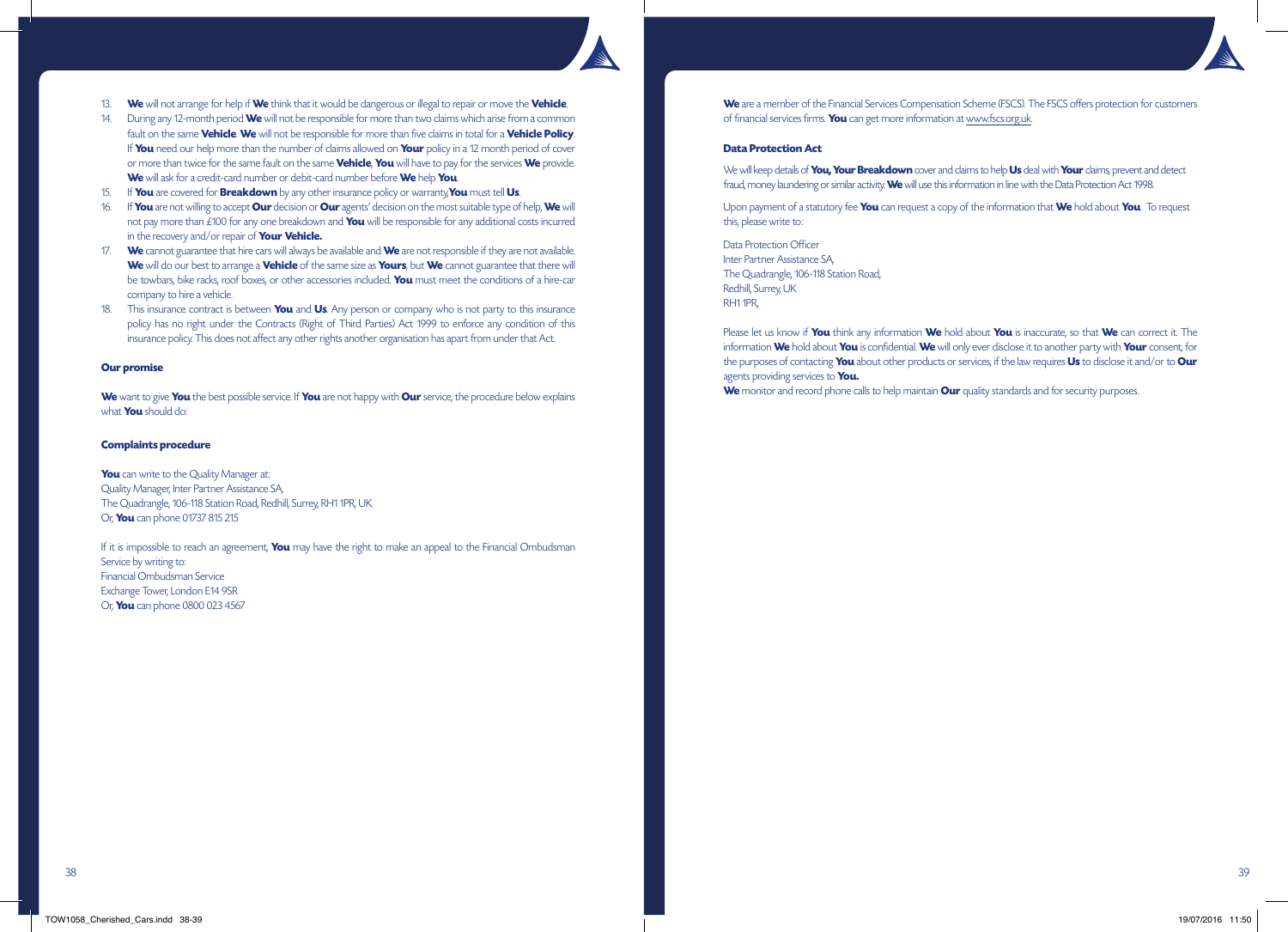- 13. **We** will not arrange for help if **We** think that it would be dangerous or illegal to repair or move the **Vehicle**.
- 14. During any 12-month period **We** will not be responsible for more than two claims which arise from a common fault on the same **Vehicle**. **We** will not be responsible for more than five claims in total for a **Vehicle Policy**. If **You** need our help more than the number of claims allowed on **Your** policy in a 12 month period of cover or more than twice for the same fault on the same **Vehicle**, **You** will have to pay for the services **We** provide. **We** will ask for a credit-card number or debit-card number before **We** help **You**.
- 15. If **You** are covered for **Breakdown** by any other insurance policy or warranty,**You** must tell **Us**.
- 16. If **You** are not willing to accept **Our** decision or **Our** agents' decision on the most suitable type of help, **We** will not pay more than £100 for any one breakdown and **You** will be responsible for any additional costs incurred in the recovery and/or repair of **Your Vehicle.**
- 17. **We** cannot guarantee that hire cars will always be available and **We** are not responsible if they are not available. **We** will do our best to arrange a **Vehicle** of the same size as **Yours**, but **We** cannot guarantee that there will be towbars, bike racks, roof boxes, or other accessories included. **You** must meet the conditions of a hire-car company to hire a vehicle.
- 18. This insurance contract is between **You** and **Us**. Any person or company who is not party to this insurance policy has no right under the Contracts (Right of Third Parties) Act 1999 to enforce any condition of this insurance policy. This does not affect any other rights another organisation has apart from under that Act.

### **Our promise**

**We** want to give **You** the best possible service. If **You** are not happy with **Our** service, the procedure below explains what **You** should do:

# **Complaints procedure**

**You** can write to the Quality Manager at: Quality Manager, Inter Partner Assistance SA, The Quadrangle, 106-118 Station Road, Redhill, Surrey, RH1 1PR, UK. Or, **You** can phone 01737 815 215

If it is impossible to reach an agreement, **You** may have the right to make an appeal to the Financial Ombudsman Service by writing to: Financial Ombudsman Service Exchange Tower, London E14 9SR Or, **You** can phone 0800 023 4567

**We** are a member of the Financial Services Compensation Scheme (FSCS). The FSCS offers protection for customers of financial services firms. **You** can get more information at www.fscs.org.uk.

### **Data Protection Act**

We will keep details of **You, Your Breakdown** cover and claims to help **Us** deal with **Your** claims, prevent and detect fraud, money laundering or similar activity. **We** will use this information in line with the Data Protection Act 1998.

Upon payment of a statutory fee **You** can request a copy of the information that **We** hold about **You**. To request this, please write to:

Data Protection Officer Inter Partner Assistance SA, The Quadrangle, 106-118 Station Road, Redhill, Surrey, UK RH1 1PR,

Please let us know if **You** think any information **We** hold about **You** is inaccurate, so that **We** can correct it. The information **We** hold about **You** is confidential. **We** will only ever disclose it to another party with **Your** consent, for the purposes of contacting **You** about other products or services, if the law requires **Us** to disclose it and/or to **Our** agents providing services to **You.**

We monitor and record phone calls to help maintain **Our** quality standards and for security purposes.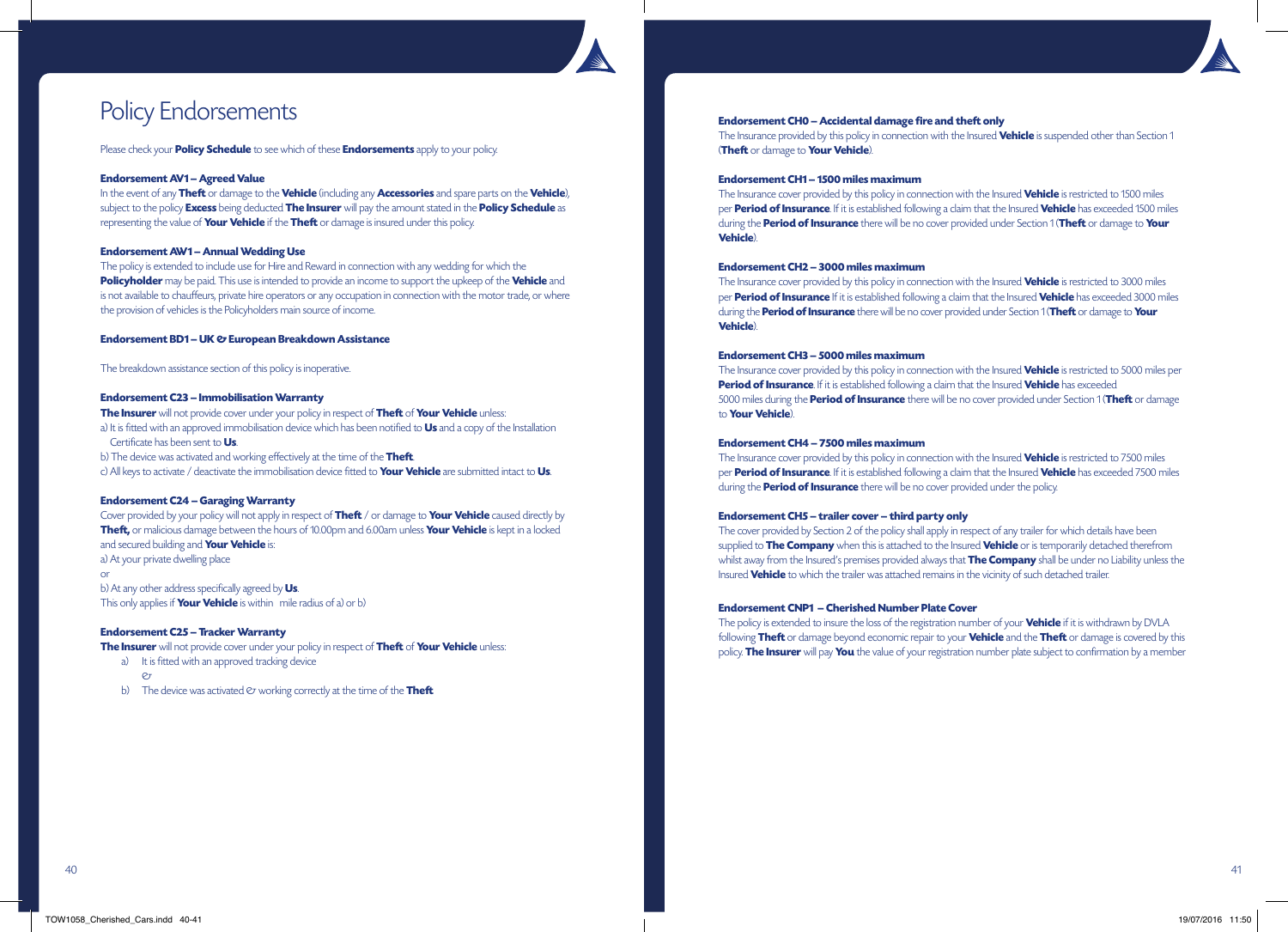# Policy Endorsements

Please check your **Policy Schedule** to see which of these **Endorsements** apply to your policy.

# **Endorsement AV1 – Agreed Value**

In the event of any **Theft** or damage to the **Vehicle** (including any **Accessories** and spare parts on the **Vehicle**), subject to the policy **Excess** being deducted **The Insurer** will pay the amount stated in the **Policy Schedule** as representing the value of **Your Vehicle** if the **Theft** or damage is insured under this policy.

# **Endorsement AW1 – Annual Wedding Use**

The policy is extended to include use for Hire and Reward in connection with any wedding for which the **Policyholder** may be paid. This use is intended to provide an income to support the upkeep of the **Vehicle** and is not available to chauffeurs, private hire operators or any occupation in connection with the motor trade, or where the provision of vehicles is the Policyholders main source of income.

# **Endorsement BD1 – UK & European Breakdown Assistance**

The breakdown assistance section of this policy is inoperative.

# **Endorsement C23 – Immobilisation Warranty**

**The Insurer** will not provide cover under your policy in respect of **Theft** of **Your Vehicle** unless: a) It is fitted with an approved immobilisation device which has been notified to **Us** and a copy of the Installation Certificate has been sent to **Us**.

b) The device was activated and working effectively at the time of the **Theft**.

c) All keys to activate / deactivate the immobilisation device fitted to **Your Vehicle** are submitted intact to **Us**.

# **Endorsement C24 – Garaging Warranty**

Cover provided by your policy will not apply in respect of **Theft** / or damage to **Your Vehicle** caused directly by **Theft,** or malicious damage between the hours of 10.00pm and 6.00am unless **Your Vehicle** is kept in a locked and secured building and **Your Vehicle** is: a) At your private dwelling place

or

b) At any other address specifically agreed by **Us**. This only applies if **Your Vehicle** is within mile radius of a) or b)

# **Endorsement C25 – Tracker Warranty**

**The Insurer** will not provide cover under your policy in respect of **Theft** of **Your Vehicle** unless:

a) It is fitted with an approved tracking device

- $\mathcal{O}_{\mathcal{T}}$
- b) The device was activated  $\varnothing$  working correctly at the time of the **Theft**

## **Endorsement CH0 – Accidental damage fire and theft only**

The Insurance provided by this policy in connection with the Insured **Vehicle** is suspended other than Section 1 (**Theft** or damage to **Your Vehicle**).

## **Endorsement CH1 – 1500 miles maximum**

The Insurance cover provided by this policy in connection with the Insured **Vehicle** is restricted to 1500 miles per **Period of Insurance**. If it is established following a claim that the Insured **Vehicle** has exceeded 1500 miles during the **Period of Insurance** there will be no cover provided under Section 1 (**Theft** or damage to **Your Vehicle**).

# **Endorsement CH2 – 3000 miles maximum**

The Insurance cover provided by this policy in connection with the Insured **Vehicle** is restricted to 3000 miles per **Period of Insurance** If it is established following a claim that the Insured **Vehicle** has exceeded 3000 miles during the **Period of Insurance** there will be no cover provided under Section 1 (**Theft** or damage to **Your Vehicle**).

# **Endorsement CH3 – 5000 miles maximum**

The Insurance cover provided by this policy in connection with the Insured **Vehicle** is restricted to 5000 miles per **Period of Insurance**. If it is established following a claim that the Insured **Vehicle** has exceeded 5000 miles during the **Period of Insurance** there will be no cover provided under Section 1 (**Theft** or damage to **Your Vehicle**).

# **Endorsement CH4 – 7500 miles maximum**

The Insurance cover provided by this policy in connection with the Insured **Vehicle** is restricted to 7500 miles per **Period of Insurance**. If it is established following a claim that the Insured **Vehicle** has exceeded 7500 miles during the **Period of Insurance** there will be no cover provided under the policy.

# **Endorsement CH5 – trailer cover – third party only**

The cover provided by Section 2 of the policy shall apply in respect of any trailer for which details have been supplied to **The Company** when this is attached to the Insured **Vehicle** or is temporarily detached therefrom whilst away from the Insured's premises provided always that **The Company** shall be under no Liability unless the Insured **Vehicle** to which the trailer was attached remains in the vicinity of such detached trailer.

# **Endorsement CNP1 – Cherished Number Plate Cover**

The policy is extended to insure the loss of the registration number of your **Vehicle** if it is withdrawn by DVLA following **Theft** or damage beyond economic repair to your **Vehicle** and the **Theft** or damage is covered by this policy. **The Insurer** will pay **You** the value of your registration number plate subject to confirmation by a member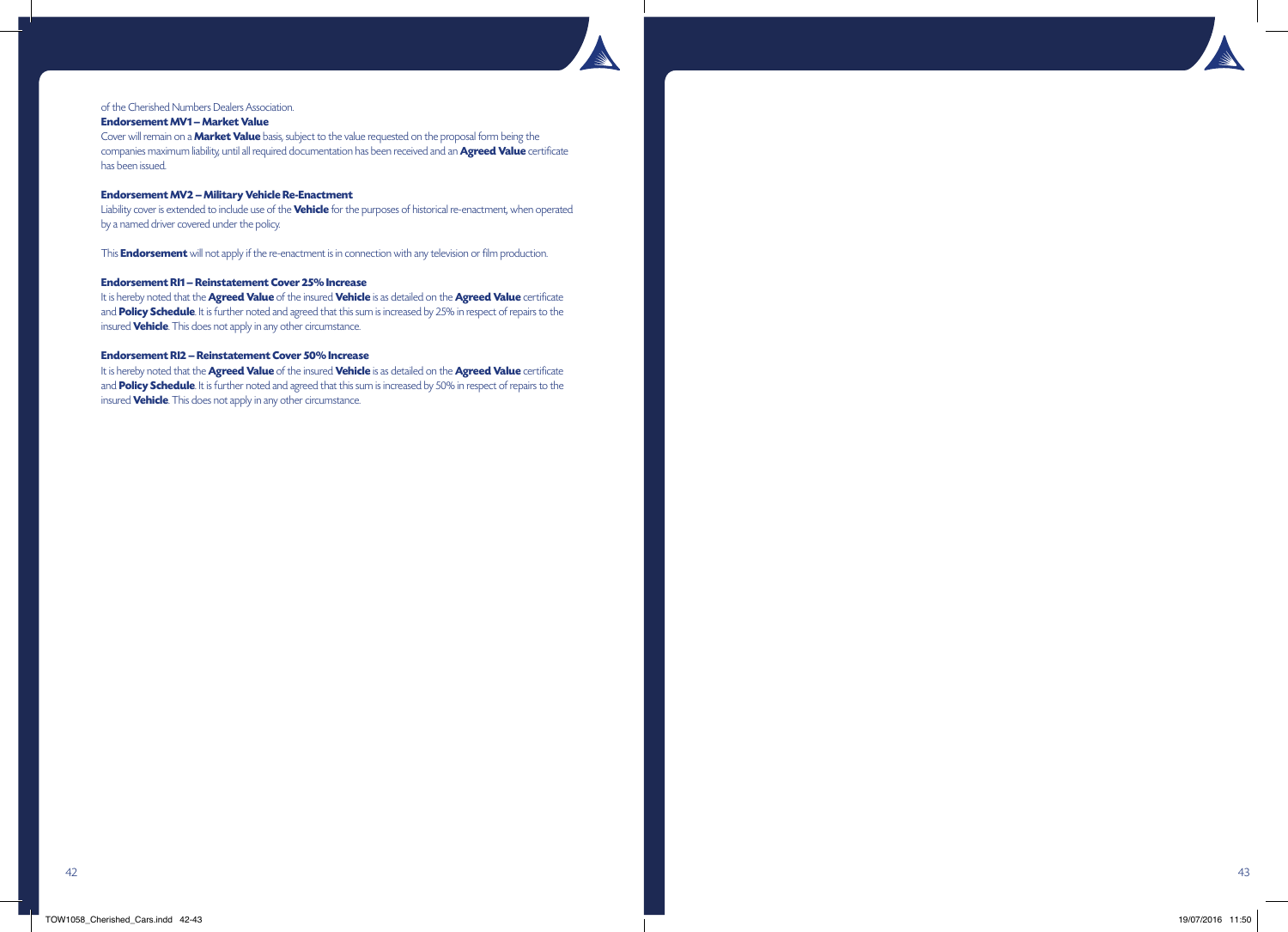

# of the Cherished Numbers Dealers Association.

# **Endorsement MV1 – Market Value**

Cover will remain on a **Market Value** basis, subject to the value requested on the proposal form being the companies maximum liability, until all required documentation has been received and an **Agreed Value** certificate has been issued.

### **Endorsement MV2 – Military Vehicle Re-Enactment**

Liability cover is extended to include use of the **Vehicle** for the purposes of historical re-enactment, when operated by a named driver covered under the policy.

This **Endorsement** will not apply if the re-enactment is in connection with any television or film production.

# **Endorsement RI1 – Reinstatement Cover 25% Increase**

It is hereby noted that the **Agreed Value** of the insured **Vehicle** is as detailed on the **Agreed Value** certificate and **Policy Schedule**. It is further noted and agreed that this sum is increased by 25% in respect of repairs to the insured **Vehicle**. This does not apply in any other circumstance.

### **Endorsement RI2 – Reinstatement Cover 50% Increase**

It is hereby noted that the **Agreed Value** of the insured **Vehicle** is as detailed on the **Agreed Value** certificate and **Policy Schedule**. It is further noted and agreed that this sum is increased by 50% in respect of repairs to the insured **Vehicle**. This does not apply in any other circumstance.